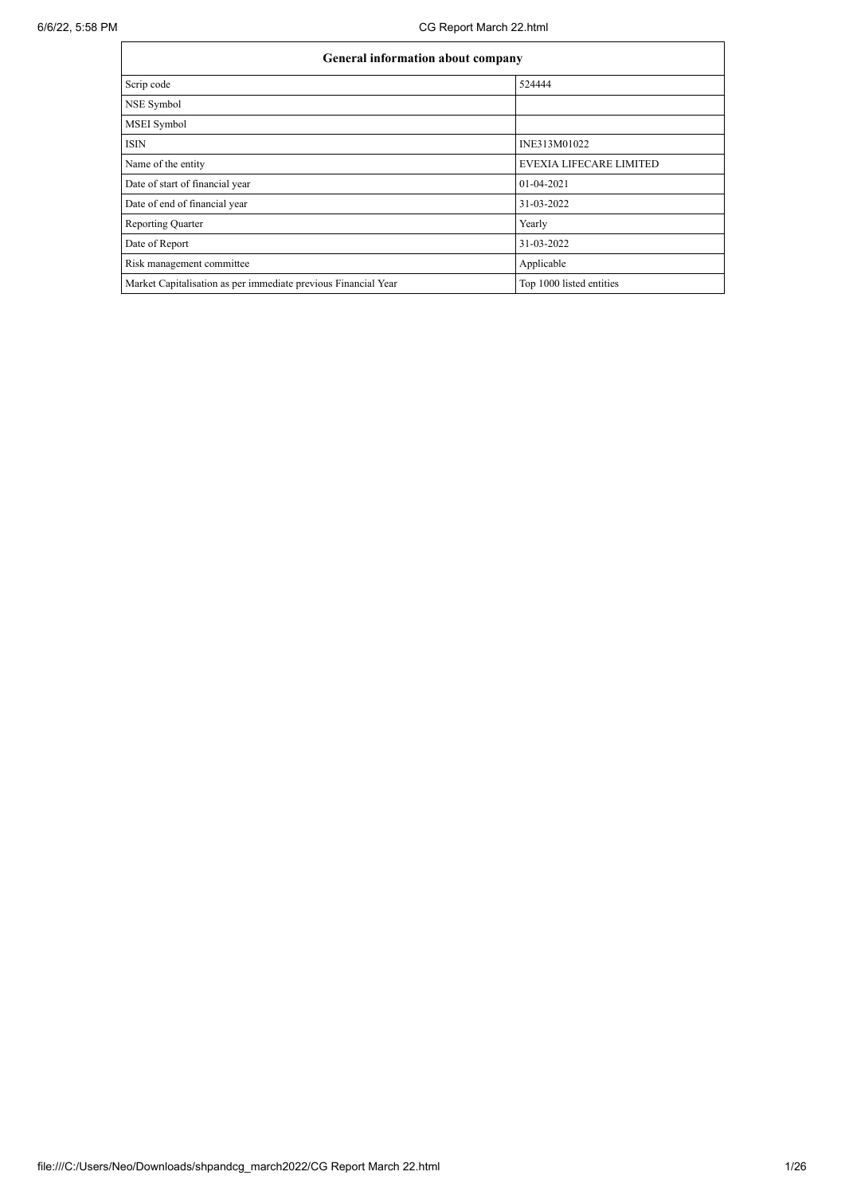| General information about company                              |                                |  |  |  |  |  |
|----------------------------------------------------------------|--------------------------------|--|--|--|--|--|
| Scrip code                                                     | 524444                         |  |  |  |  |  |
| NSE Symbol                                                     |                                |  |  |  |  |  |
| MSEI Symbol                                                    |                                |  |  |  |  |  |
| <b>ISIN</b>                                                    | INE313M01022                   |  |  |  |  |  |
| Name of the entity                                             | <b>EVEXIA LIFECARE LIMITED</b> |  |  |  |  |  |
| Date of start of financial year                                | $01-04-2021$                   |  |  |  |  |  |
| Date of end of financial year                                  | 31-03-2022                     |  |  |  |  |  |
| Reporting Quarter                                              | Yearly                         |  |  |  |  |  |
| Date of Report                                                 | 31-03-2022                     |  |  |  |  |  |
| Risk management committee                                      | Applicable                     |  |  |  |  |  |
| Market Capitalisation as per immediate previous Financial Year | Top 1000 listed entities       |  |  |  |  |  |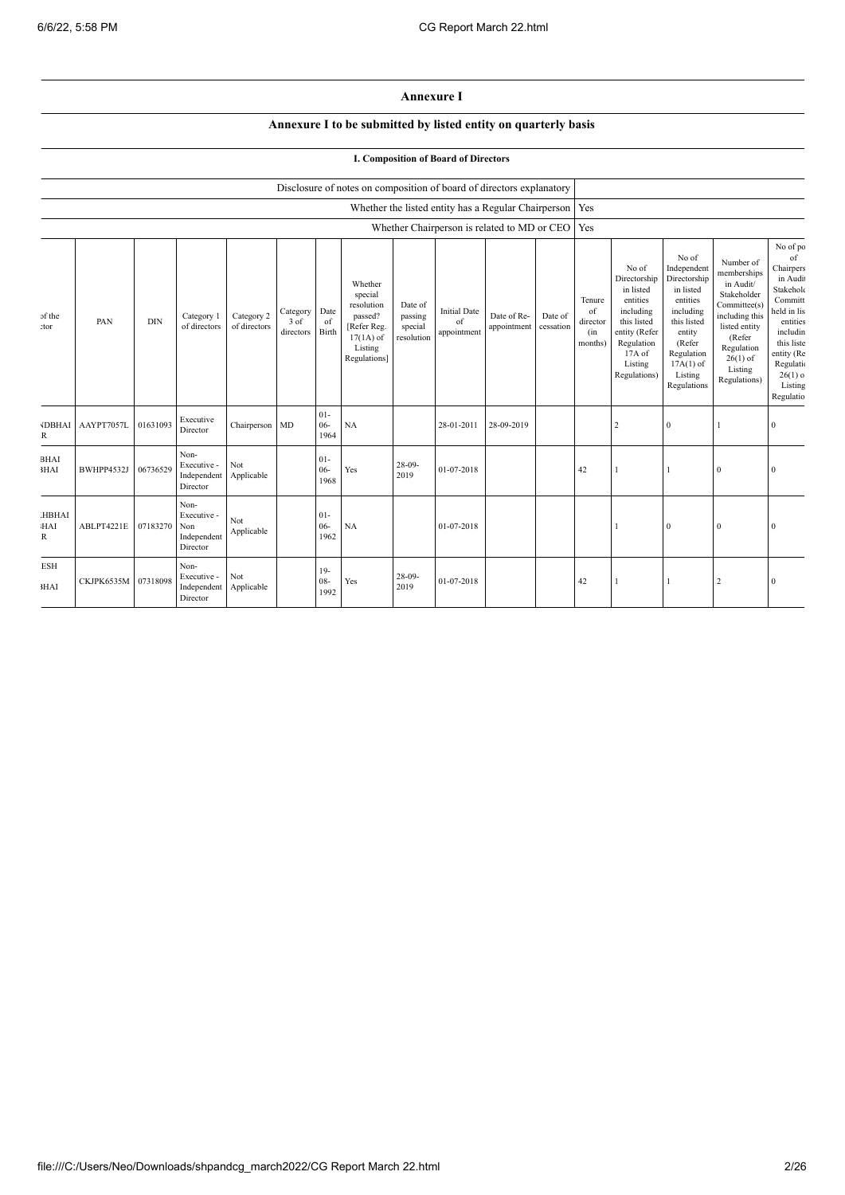## **Annexure I**

## **Annexure I to be submitted by listed entity on quarterly basis**

## **I. Composition of Board of Directors**

|                          | Disclosure of notes on composition of board of directors explanatory |            |                                                       |                            |                               |                          |                                                                                                      |                                             |                                          |                                                           |                      |                                            |                                                                                                                                                  |                                                                                                                                                                      |                                                                                                                                                                          |                                                                                                                                                                                     |
|--------------------------|----------------------------------------------------------------------|------------|-------------------------------------------------------|----------------------------|-------------------------------|--------------------------|------------------------------------------------------------------------------------------------------|---------------------------------------------|------------------------------------------|-----------------------------------------------------------|----------------------|--------------------------------------------|--------------------------------------------------------------------------------------------------------------------------------------------------|----------------------------------------------------------------------------------------------------------------------------------------------------------------------|--------------------------------------------------------------------------------------------------------------------------------------------------------------------------|-------------------------------------------------------------------------------------------------------------------------------------------------------------------------------------|
|                          |                                                                      |            |                                                       |                            |                               |                          |                                                                                                      |                                             |                                          | Whether the listed entity has a Regular Chairperson   Yes |                      |                                            |                                                                                                                                                  |                                                                                                                                                                      |                                                                                                                                                                          |                                                                                                                                                                                     |
|                          |                                                                      |            |                                                       |                            |                               |                          |                                                                                                      |                                             |                                          | Whether Chairperson is related to MD or CEO   Yes         |                      |                                            |                                                                                                                                                  |                                                                                                                                                                      |                                                                                                                                                                          |                                                                                                                                                                                     |
| of the<br>:tor           | PAN                                                                  | <b>DIN</b> | Category 1<br>of directors                            | Category 2<br>of directors | Category<br>3 of<br>directors | Date<br>of<br>Birth      | Whether<br>special<br>resolution<br>passed?<br>[Refer Reg.<br>$17(1A)$ of<br>Listing<br>Regulations] | Date of<br>passing<br>special<br>resolution | <b>Initial Date</b><br>of<br>appointment | Date of Re-<br>appointment                                | Date of<br>cessation | Tenure<br>of<br>director<br>(in<br>months) | No of<br>Directorship<br>in listed<br>entities<br>including<br>this listed<br>entity (Refer<br>Regulation<br>$17A$ of<br>Listing<br>Regulations) | No of<br>Independent<br>Directorship<br>in listed<br>entities<br>including<br>this listed<br>entity<br>(Refer<br>Regulation<br>$17A(1)$ of<br>Listing<br>Regulations | Number of<br>memberships<br>in Audit/<br>Stakeholder<br>Committee(s)<br>including this<br>listed entity<br>(Refer<br>Regulation<br>$26(1)$ of<br>Listing<br>Regulations) | No of po<br>of<br>Chairpers<br>in Audi<br>Stakeholc<br>Committ<br>held in lis<br>entities<br>includin<br>this liste<br>entity (Re<br>Regulatio<br>$26(1)$ o<br>Listing<br>Regulatio |
| <b>JDBHAI</b><br>R       | AAYPT7057L                                                           | 01631093   | Executive<br>Director                                 | Chairperson                | <b>MD</b>                     | $01 -$<br>$06 -$<br>1964 | NA                                                                                                   |                                             | 28-01-2011                               | 28-09-2019                                                |                      |                                            | 2                                                                                                                                                | $\bf{0}$                                                                                                                                                             |                                                                                                                                                                          | $\Omega$                                                                                                                                                                            |
| <b>BHAI</b><br>3HAI      | BWHPP4532J                                                           | 06736529   | Non-<br>Executive -<br>Independent<br>Director        | Not<br>Applicable          |                               | $01 -$<br>$06 -$<br>1968 | Yes                                                                                                  | $28-09-$<br>2019                            | 01-07-2018                               |                                                           |                      | 42                                         |                                                                                                                                                  |                                                                                                                                                                      | $\Omega$                                                                                                                                                                 |                                                                                                                                                                                     |
| <b>HBHAI</b><br>HAI<br>R | ABLPT4221E                                                           | 07183270   | Non-<br>Executive -<br>Non<br>Independent<br>Director | Not<br>Applicable          |                               | $01-$<br>$06 -$<br>1962  | NA                                                                                                   |                                             | 01-07-2018                               |                                                           |                      |                                            |                                                                                                                                                  | $\boldsymbol{0}$                                                                                                                                                     | $\Omega$                                                                                                                                                                 |                                                                                                                                                                                     |
| <b>ESH</b><br>3HAI       | CKJPK6535M 07318098                                                  |            | Non-<br>Executive -<br>Independent<br>Director        | Not<br>Applicable          |                               | $19-$<br>$08 -$<br>1992  | Yes                                                                                                  | $28 - 09$<br>2019                           | 01-07-2018                               |                                                           |                      | 42                                         |                                                                                                                                                  |                                                                                                                                                                      | $\overline{2}$                                                                                                                                                           | $\Omega$                                                                                                                                                                            |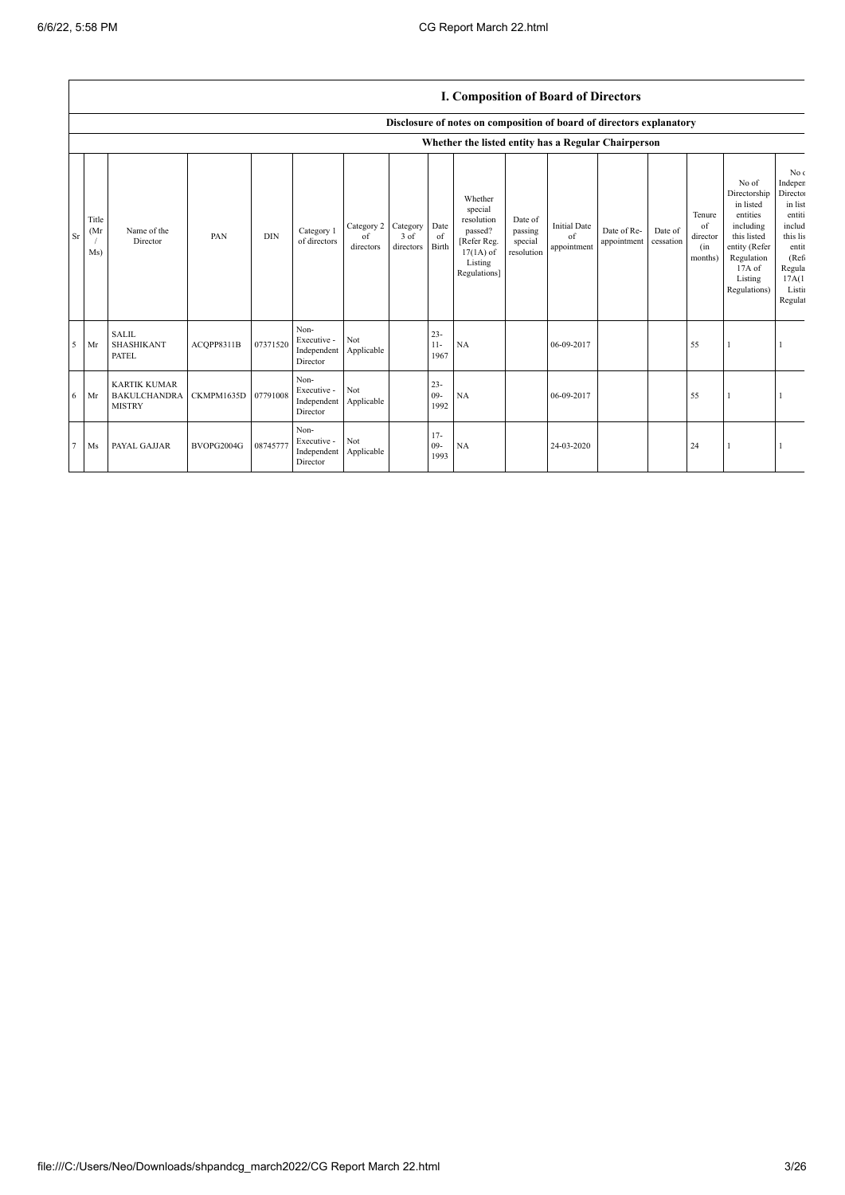$\overline{1}$ 

|    |                      |                                                             |            |            |                                                |                               |                               |                          | I. Composition of Board of Directors                                                                 |                                             |                                          |                            |                      |                                            |                                                                                                                                                |                                                                                                                                   |
|----|----------------------|-------------------------------------------------------------|------------|------------|------------------------------------------------|-------------------------------|-------------------------------|--------------------------|------------------------------------------------------------------------------------------------------|---------------------------------------------|------------------------------------------|----------------------------|----------------------|--------------------------------------------|------------------------------------------------------------------------------------------------------------------------------------------------|-----------------------------------------------------------------------------------------------------------------------------------|
|    |                      |                                                             |            |            |                                                |                               |                               |                          | Disclosure of notes on composition of board of directors explanatory                                 |                                             |                                          |                            |                      |                                            |                                                                                                                                                |                                                                                                                                   |
|    |                      |                                                             |            |            |                                                |                               |                               |                          | Whether the listed entity has a Regular Chairperson                                                  |                                             |                                          |                            |                      |                                            |                                                                                                                                                |                                                                                                                                   |
| Sr | Title<br>(Mr)<br>Ms) | Name of the<br>Director                                     | PAN        | <b>DIN</b> | Category 1<br>of directors                     | Category 2<br>of<br>directors | Category<br>3 of<br>directors | Date<br>of<br>Birth      | Whether<br>special<br>resolution<br>passed?<br>[Refer Reg.<br>$17(1A)$ of<br>Listing<br>Regulations] | Date of<br>passing<br>special<br>resolution | <b>Initial Date</b><br>of<br>appointment | Date of Re-<br>appointment | Date of<br>cessation | Tenure<br>of<br>director<br>(in<br>months) | No of<br>Directorship<br>in listed<br>entities<br>including<br>this listed<br>entity (Refer<br>Regulation<br>17A of<br>Listing<br>Regulations) | No c<br>Indeper<br>Directo:<br>in list<br>entiti<br>includ<br>this lis<br>entit<br>(Ref)<br>Regula<br>17A(1)<br>Listin<br>Regulat |
| 5  | Mr                   | <b>SALIL</b><br><b>SHASHIKANT</b><br><b>PATEL</b>           | ACOPP8311B | 07371520   | Non-<br>Executive -<br>Independent<br>Director | <b>Not</b><br>Applicable      |                               | $23 -$<br>$11 -$<br>1967 | NA                                                                                                   |                                             | 06-09-2017                               |                            |                      | 55                                         |                                                                                                                                                |                                                                                                                                   |
| 6  | Mr                   | <b>KARTIK KUMAR</b><br><b>BAKULCHANDRA</b><br><b>MISTRY</b> | CKMPM1635D | 07791008   | Non-<br>Executive -<br>Independent<br>Director | Not<br>Applicable             |                               | $23 -$<br>$09 -$<br>1992 | NA                                                                                                   |                                             | 06-09-2017                               |                            |                      | 55                                         |                                                                                                                                                |                                                                                                                                   |
| 7  | Ms                   | PAYAL GAJJAR                                                | BVOPG2004G | 08745777   | Non-<br>Executive -<br>Independent<br>Director | Not<br>Applicable             |                               | $17-$<br>$09 -$<br>1993  | <b>NA</b>                                                                                            |                                             | 24-03-2020                               |                            |                      | 24                                         |                                                                                                                                                |                                                                                                                                   |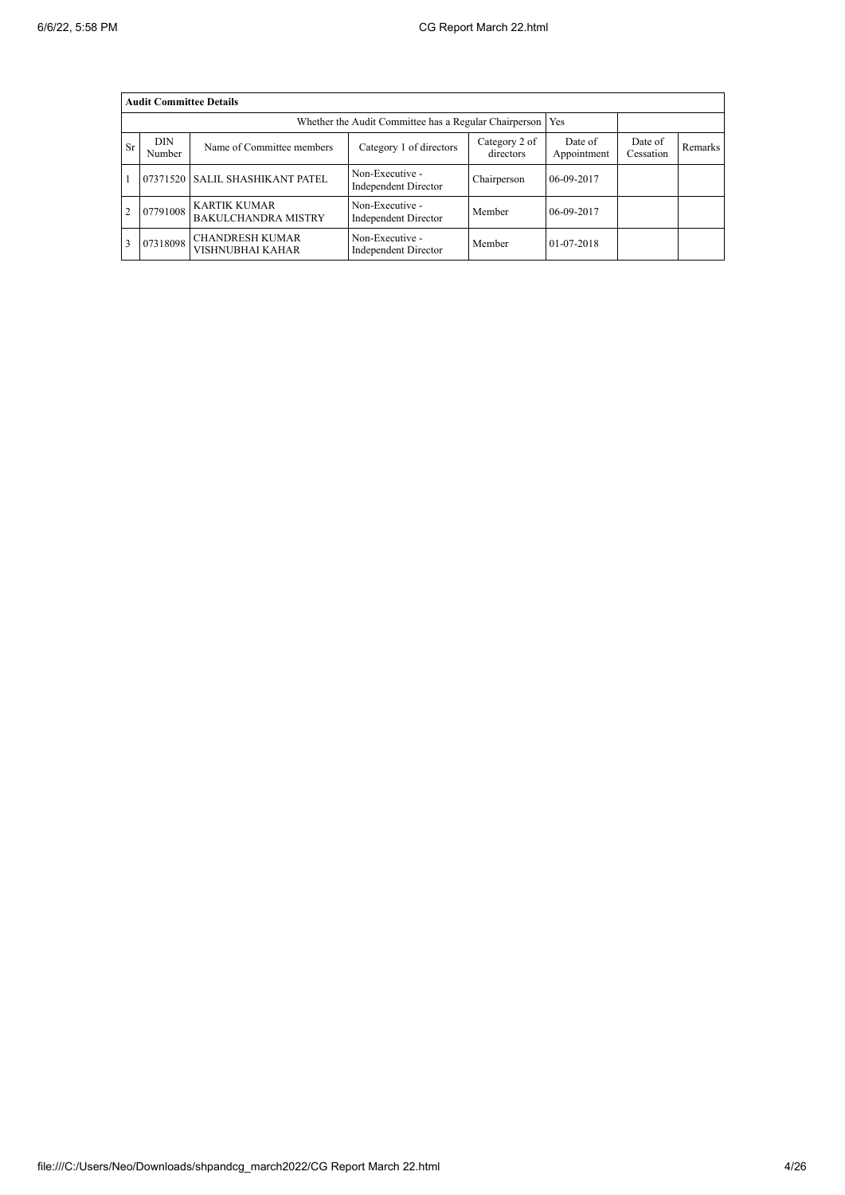|           | <b>Audit Committee Details</b> |                                                       |                                         |                      |            |  |  |  |  |  |
|-----------|--------------------------------|-------------------------------------------------------|-----------------------------------------|----------------------|------------|--|--|--|--|--|
|           |                                | Whether the Audit Committee has a Regular Chairperson | Yes                                     |                      |            |  |  |  |  |  |
| <b>Sr</b> | <b>DIN</b><br>Number           | Name of Committee members                             | Date of<br>Appointment                  | Date of<br>Cessation | Remarks    |  |  |  |  |  |
|           | 07371520                       | <b>SALIL SHASHIKANT PATEL</b>                         | Non-Executive -<br>Independent Director | Chairperson          | 06-09-2017 |  |  |  |  |  |
|           | 07791008                       | <b>KARTIK KUMAR</b><br><b>BAKULCHANDRA MISTRY</b>     | Non-Executive -<br>Independent Director | Member               | 06-09-2017 |  |  |  |  |  |
|           | 07318098                       | <b>CHANDRESH KUMAR</b><br>VISHNUBHAI KAHAR            | Non-Executive -<br>Independent Director | Member               | 01-07-2018 |  |  |  |  |  |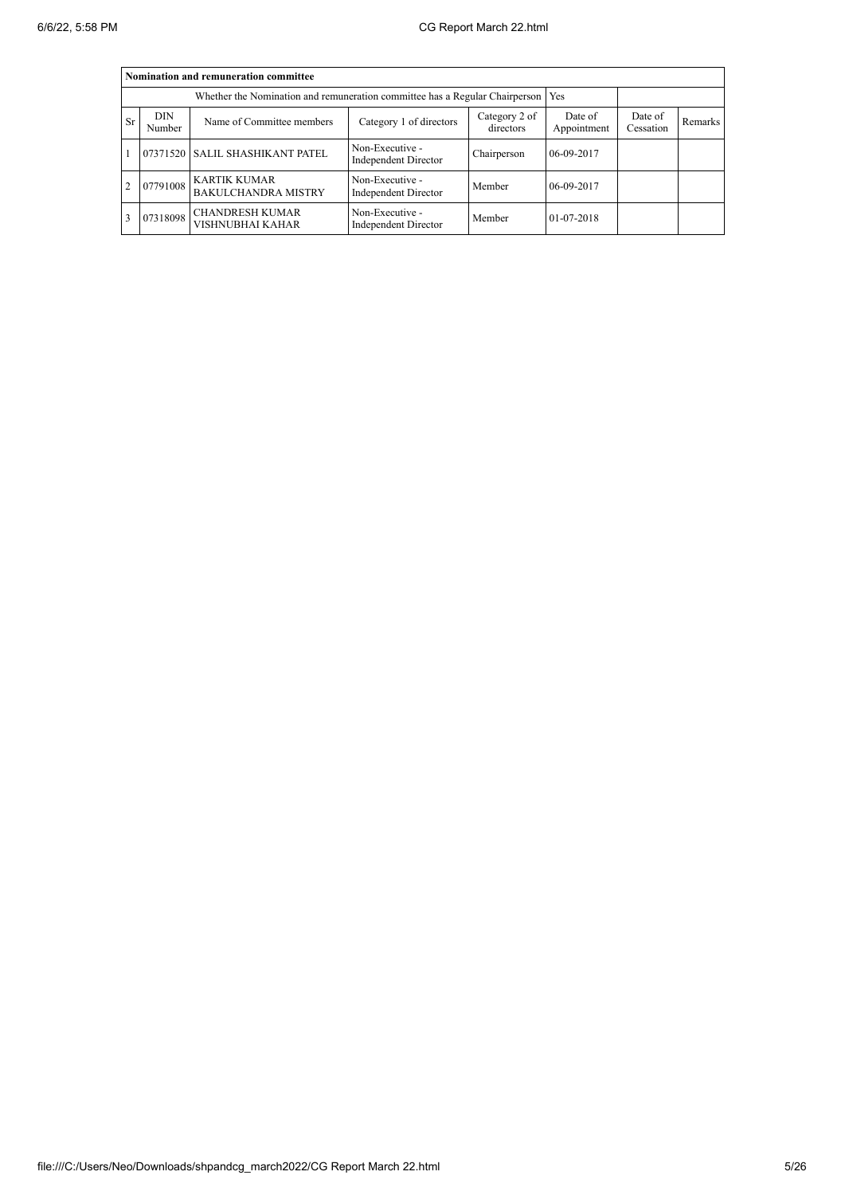|    | Nomination and remuneration committee |                                                                                   |                                                |                      |                |  |  |  |  |  |
|----|---------------------------------------|-----------------------------------------------------------------------------------|------------------------------------------------|----------------------|----------------|--|--|--|--|--|
|    |                                       | Whether the Nomination and remuneration committee has a Regular Chairperson   Yes |                                                |                      |                |  |  |  |  |  |
| Sr | <b>DIN</b><br>Number                  | Name of Committee members                                                         | Date of<br>Appointment                         | Date of<br>Cessation | <b>Remarks</b> |  |  |  |  |  |
|    |                                       | 07371520 SALIL SHASHIKANT PATEL                                                   | Non-Executive -<br>Independent Director        | Chairperson          | 06-09-2017     |  |  |  |  |  |
|    | 07791008                              | <b>KARTIK KUMAR</b><br><b>BAKULCHANDRA MISTRY</b>                                 | Non-Executive -<br><b>Independent Director</b> | Member               | 06-09-2017     |  |  |  |  |  |
|    | 07318098                              | <b>CHANDRESH KUMAR</b><br>VISHNUBHAI KAHAR                                        | Non-Executive -<br><b>Independent Director</b> | Member               | 01-07-2018     |  |  |  |  |  |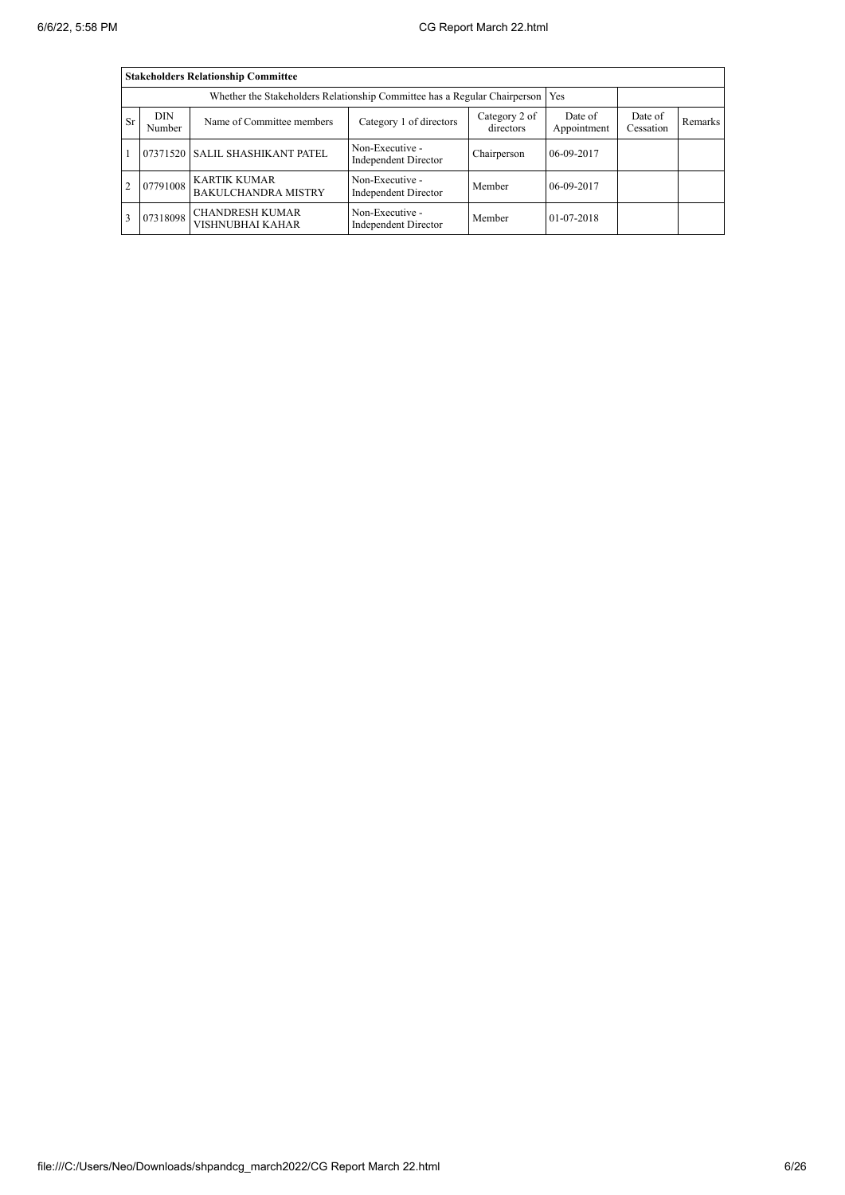|           | <b>Stakeholders Relationship Committee</b> |                                                                                 |                                         |                      |                |  |  |  |  |  |
|-----------|--------------------------------------------|---------------------------------------------------------------------------------|-----------------------------------------|----------------------|----------------|--|--|--|--|--|
|           |                                            | Whether the Stakeholders Relationship Committee has a Regular Chairperson   Yes |                                         |                      |                |  |  |  |  |  |
| <b>Sr</b> | <b>DIN</b><br>Number                       | Name of Committee members                                                       | Date of<br>Appointment                  | Date of<br>Cessation | <b>Remarks</b> |  |  |  |  |  |
|           |                                            | 07371520 SALIL SHASHIKANT PATEL                                                 | Non-Executive -<br>Independent Director | Chairperson          | 06-09-2017     |  |  |  |  |  |
|           | 07791008                                   | <b>KARTIK KUMAR</b><br><b>BAKULCHANDRA MISTRY</b>                               | Non-Executive -<br>Independent Director | Member               | 06-09-2017     |  |  |  |  |  |
|           | 07318098                                   | <b>CHANDRESH KUMAR</b><br>VISHNUBHAI KAHAR                                      | Non-Executive -<br>Independent Director | Member               | 01-07-2018     |  |  |  |  |  |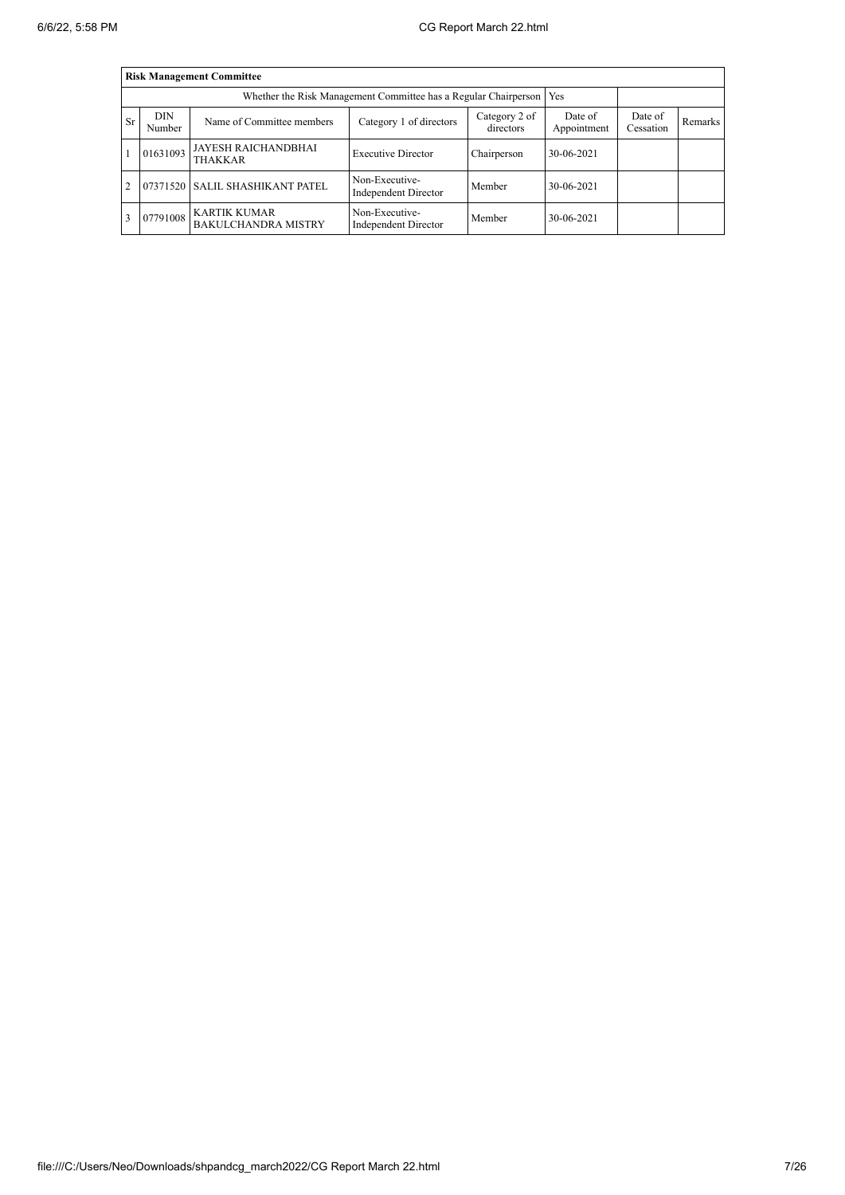|           | <b>Risk Management Committee</b> |                                                                       |                                               |                        |                      |         |  |  |  |  |
|-----------|----------------------------------|-----------------------------------------------------------------------|-----------------------------------------------|------------------------|----------------------|---------|--|--|--|--|
|           |                                  | Whether the Risk Management Committee has a Regular Chairperson   Yes |                                               |                        |                      |         |  |  |  |  |
| <b>Sr</b> | <b>DIN</b><br>Number             | Name of Committee members                                             | Category 2 of<br>directors                    | Date of<br>Appointment | Date of<br>Cessation | Remarks |  |  |  |  |
|           | 01631093                         | JAYESH RAICHANDBHAI<br><b>THAKKAR</b>                                 | <b>Executive Director</b>                     | Chairperson            | 30-06-2021           |         |  |  |  |  |
| 2         |                                  | 07371520 SALIL SHASHIKANT PATEL                                       | Non-Executive-<br>Independent Director        | Member                 | 30-06-2021           |         |  |  |  |  |
| 3         | 07791008                         | <b>KARTIK KUMAR</b><br><b>BAKULCHANDRA MISTRY</b>                     | Non-Executive-<br><b>Independent Director</b> | Member                 | 30-06-2021           |         |  |  |  |  |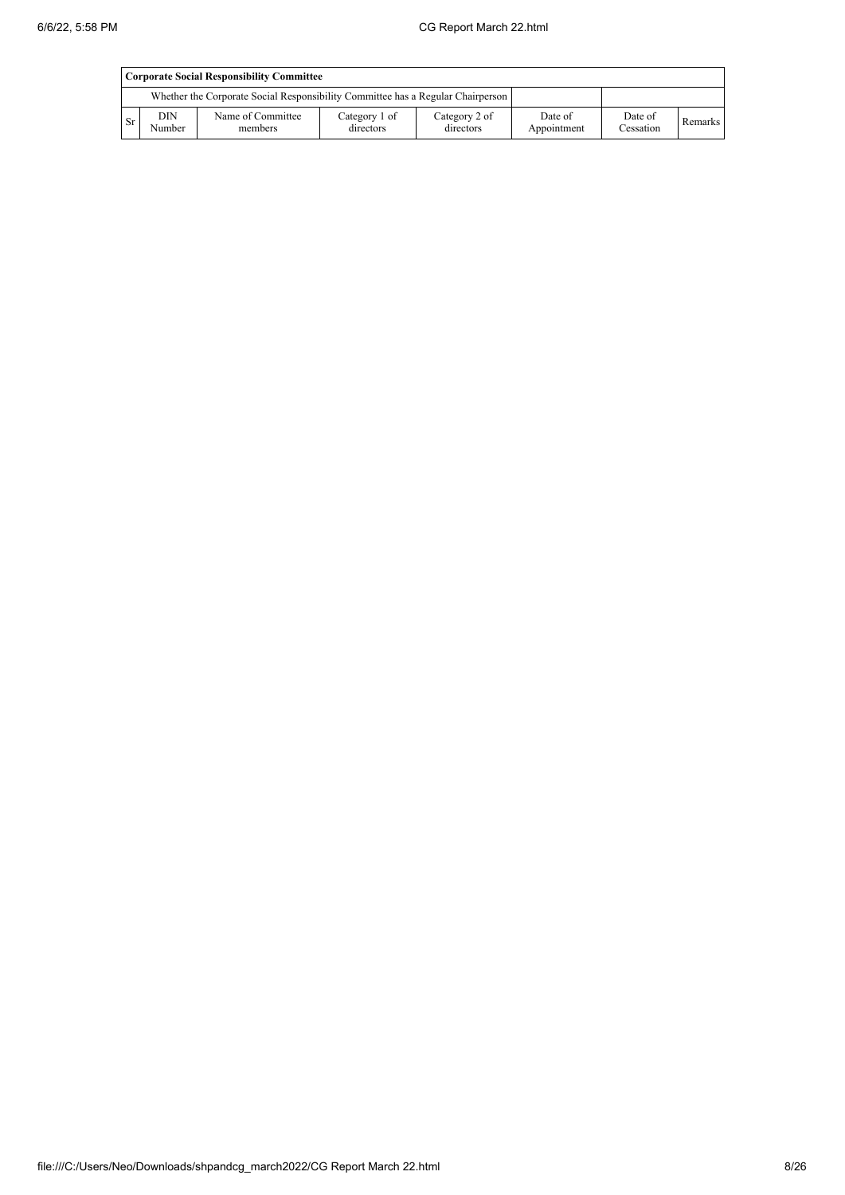|           | <b>Corporate Social Responsibility Committee</b> |                                                                                 |                            |                            |                        |                      |         |  |  |
|-----------|--------------------------------------------------|---------------------------------------------------------------------------------|----------------------------|----------------------------|------------------------|----------------------|---------|--|--|
|           |                                                  | Whether the Corporate Social Responsibility Committee has a Regular Chairperson |                            |                            |                        |                      |         |  |  |
| <b>Sr</b> | <b>DIN</b><br>Number                             | Name of Committee<br>members                                                    | Category 1 of<br>directors | Category 2 of<br>directors | Date of<br>Appointment | Date of<br>Cessation | Remarks |  |  |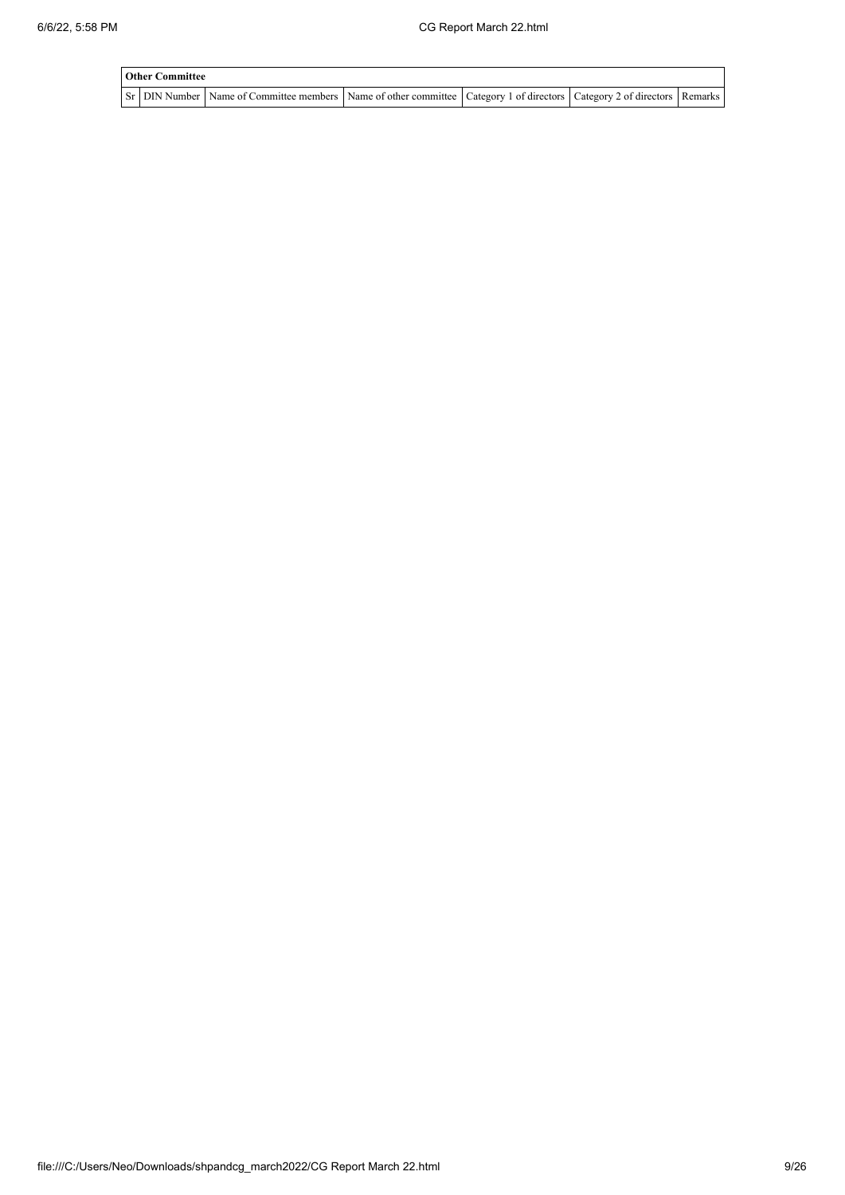| <b>Other Committee</b> |                                                                                                                                     |  |  |
|------------------------|-------------------------------------------------------------------------------------------------------------------------------------|--|--|
|                        | Sr   DIN Number   Name of Committee members   Name of other committee   Category 1 of directors   Category 2 of directors   Remarks |  |  |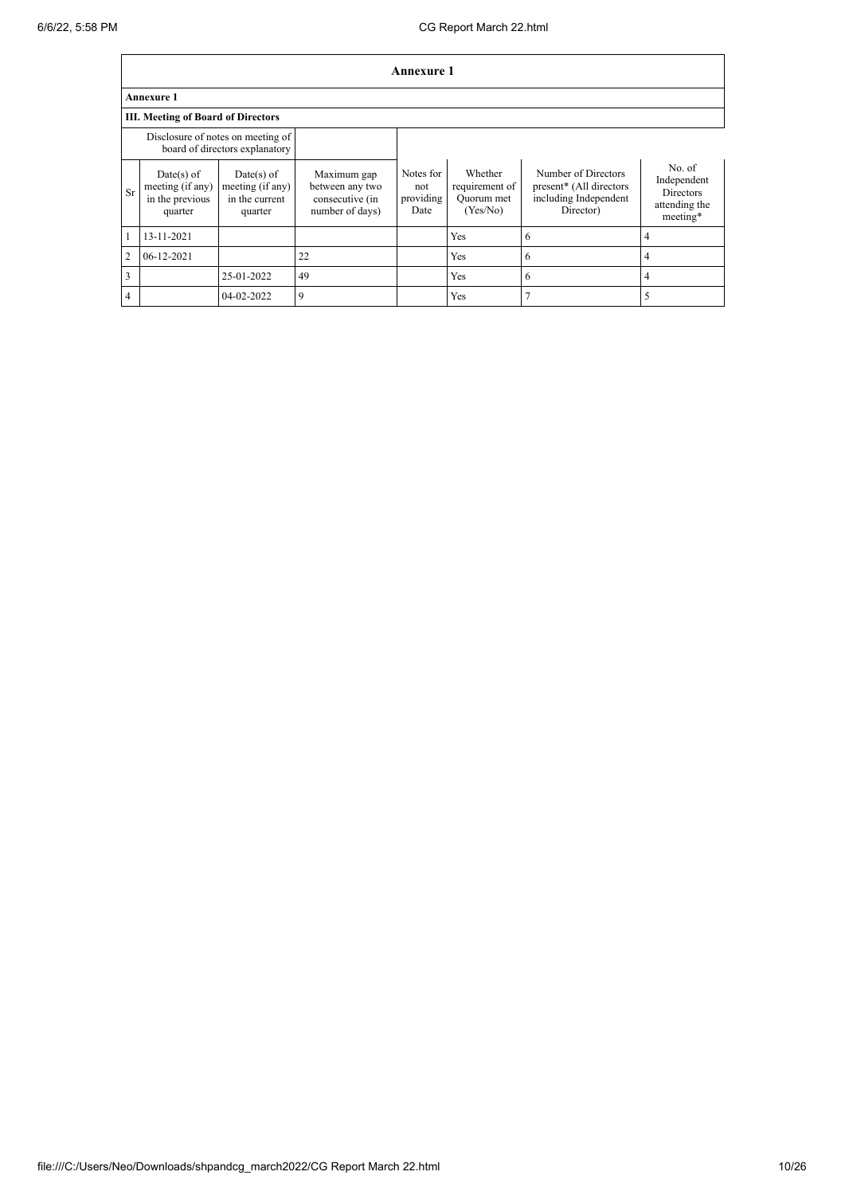|                | <b>Annexure 1</b>                                              |                                                                     |                                                                      |                                       |                                                     |                                                                                      |                                                                        |  |  |
|----------------|----------------------------------------------------------------|---------------------------------------------------------------------|----------------------------------------------------------------------|---------------------------------------|-----------------------------------------------------|--------------------------------------------------------------------------------------|------------------------------------------------------------------------|--|--|
|                | <b>Annexure 1</b>                                              |                                                                     |                                                                      |                                       |                                                     |                                                                                      |                                                                        |  |  |
|                | <b>III. Meeting of Board of Directors</b>                      |                                                                     |                                                                      |                                       |                                                     |                                                                                      |                                                                        |  |  |
|                |                                                                | Disclosure of notes on meeting of<br>board of directors explanatory |                                                                      |                                       |                                                     |                                                                                      |                                                                        |  |  |
| Sr             | $Date(s)$ of<br>meeting (if any)<br>in the previous<br>quarter | $Date(s)$ of<br>meeting (if any)<br>in the current<br>quarter       | Maximum gap<br>between any two<br>consecutive (in<br>number of days) | Notes for<br>not<br>providing<br>Date | Whether<br>requirement of<br>Quorum met<br>(Yes/No) | Number of Directors<br>present* (All directors<br>including Independent<br>Director) | No. of<br>Independent<br><b>Directors</b><br>attending the<br>meeting* |  |  |
| 1              | 13-11-2021                                                     |                                                                     |                                                                      |                                       | Yes                                                 | 6                                                                                    | 4                                                                      |  |  |
| $\overline{2}$ | 06-12-2021                                                     |                                                                     | 22                                                                   |                                       | <b>Yes</b>                                          | 6                                                                                    | 4                                                                      |  |  |
| 3              |                                                                | 25-01-2022                                                          | 49                                                                   |                                       | Yes                                                 | 6                                                                                    | 4                                                                      |  |  |
| 4              |                                                                | 04-02-2022                                                          | 9                                                                    |                                       | Yes                                                 | 7                                                                                    |                                                                        |  |  |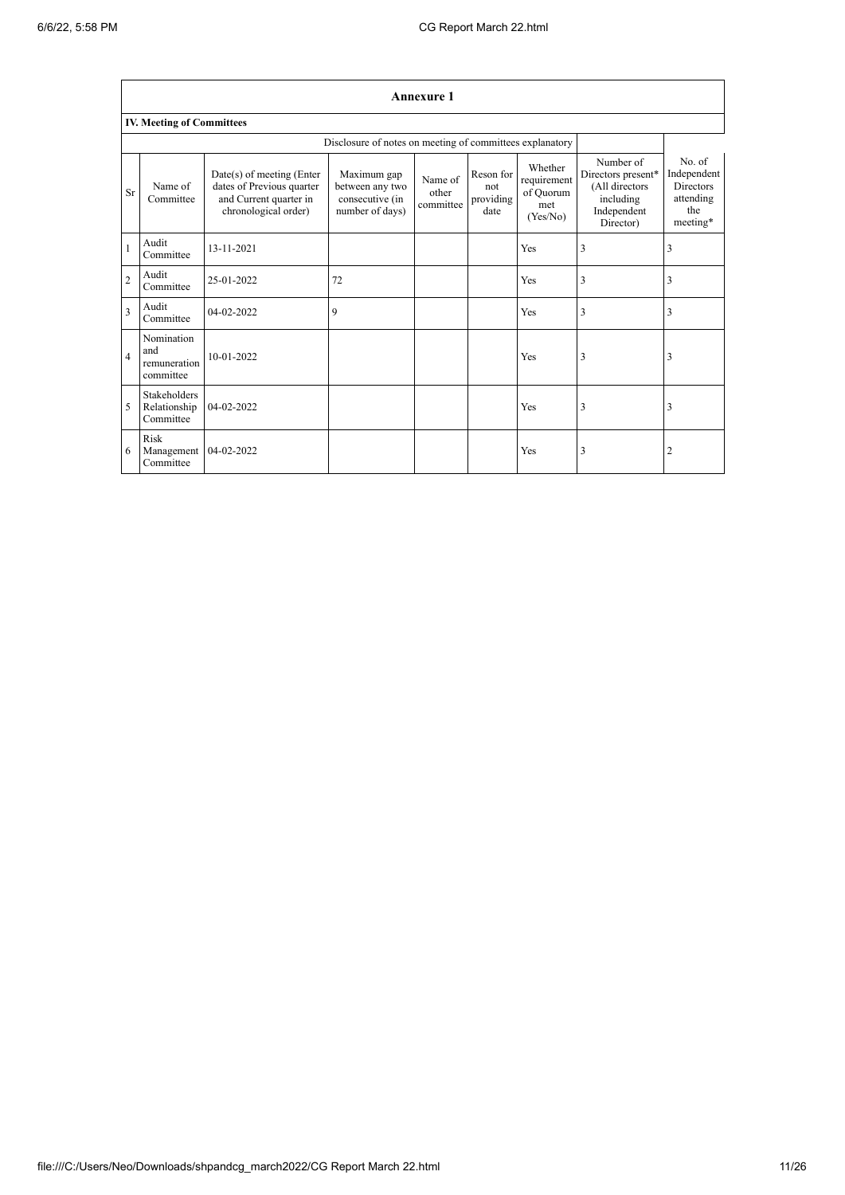|                | <b>Annexure 1</b>                                        |                                                                                                          |                                                                      |                               |                                       |                                                        |                                                                                            |                                                                           |  |
|----------------|----------------------------------------------------------|----------------------------------------------------------------------------------------------------------|----------------------------------------------------------------------|-------------------------------|---------------------------------------|--------------------------------------------------------|--------------------------------------------------------------------------------------------|---------------------------------------------------------------------------|--|
|                | <b>IV. Meeting of Committees</b>                         |                                                                                                          |                                                                      |                               |                                       |                                                        |                                                                                            |                                                                           |  |
|                | Disclosure of notes on meeting of committees explanatory |                                                                                                          |                                                                      |                               |                                       |                                                        |                                                                                            |                                                                           |  |
| Sr             | Name of<br>Committee                                     | Date(s) of meeting (Enter<br>dates of Previous quarter<br>and Current quarter in<br>chronological order) | Maximum gap<br>between any two<br>consecutive (in<br>number of days) | Name of<br>other<br>committee | Reson for<br>not<br>providing<br>date | Whether<br>requirement<br>of Quorum<br>met<br>(Yes/No) | Number of<br>Directors present*<br>(All directors<br>including<br>Independent<br>Director) | No. of<br>Independent<br><b>Directors</b><br>attending<br>the<br>meeting* |  |
| $\mathbf{1}$   | Audit<br>Committee                                       | 13-11-2021                                                                                               |                                                                      |                               |                                       | Yes                                                    | 3                                                                                          | 3                                                                         |  |
| $\overline{2}$ | Audit<br>Committee                                       | 25-01-2022                                                                                               | 72                                                                   |                               |                                       | Yes                                                    | 3                                                                                          | 3                                                                         |  |
| $\overline{3}$ | Audit<br>Committee                                       | 04-02-2022                                                                                               | 9                                                                    |                               |                                       | Yes                                                    | 3                                                                                          | $\overline{3}$                                                            |  |
| $\overline{4}$ | Nomination<br>and<br>remuneration<br>committee           | 10-01-2022                                                                                               |                                                                      |                               |                                       | Yes                                                    | 3                                                                                          | $\overline{3}$                                                            |  |
| 5              | <b>Stakeholders</b><br>Relationship<br>Committee         | 04-02-2022                                                                                               |                                                                      |                               |                                       | Yes                                                    | 3                                                                                          | $\overline{3}$                                                            |  |
| 6              | Risk<br>Management<br>Committee                          | 04-02-2022                                                                                               |                                                                      |                               |                                       | Yes                                                    | 3                                                                                          | $\overline{2}$                                                            |  |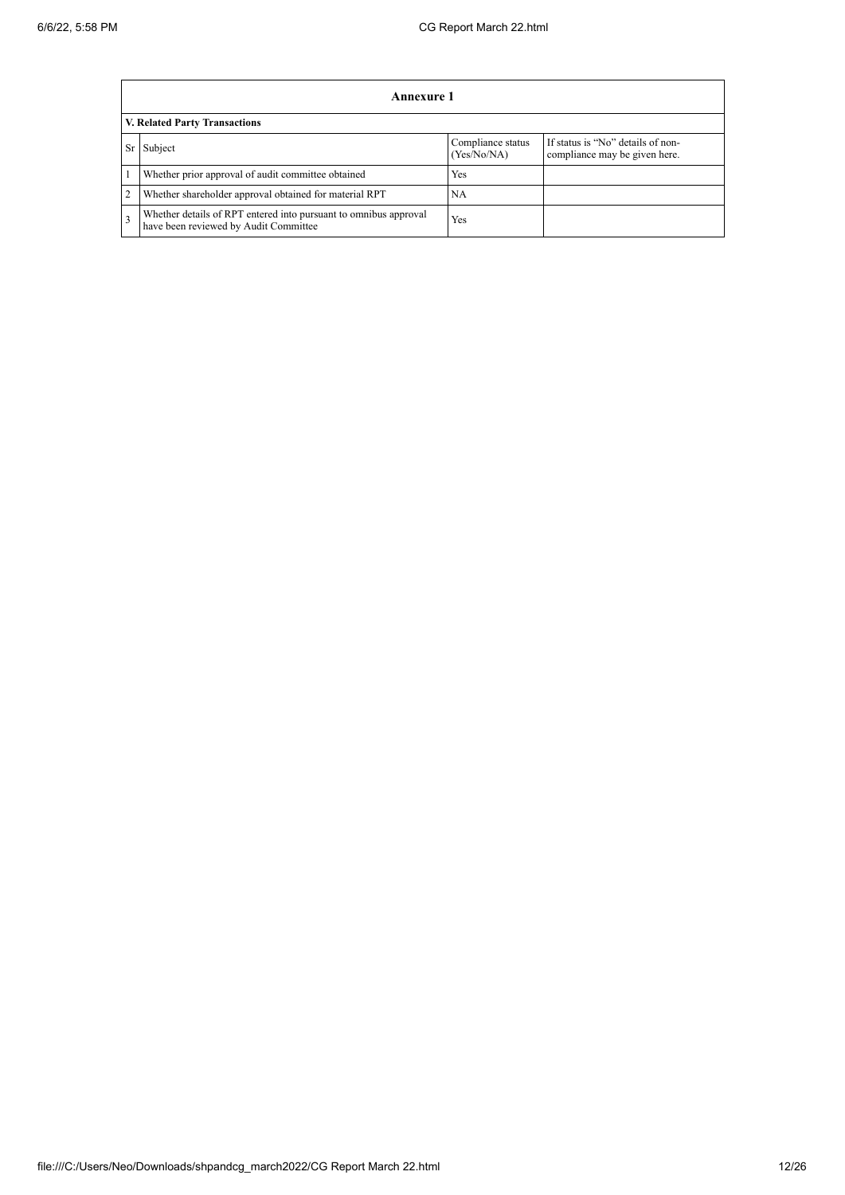|                | Annexure 1                                                                                                |                                  |                                                                    |  |  |  |  |  |
|----------------|-----------------------------------------------------------------------------------------------------------|----------------------------------|--------------------------------------------------------------------|--|--|--|--|--|
|                | V. Related Party Transactions                                                                             |                                  |                                                                    |  |  |  |  |  |
| Sr             | Subject                                                                                                   | Compliance status<br>(Yes/No/NA) | If status is "No" details of non-<br>compliance may be given here. |  |  |  |  |  |
|                | Whether prior approval of audit committee obtained                                                        | <b>Yes</b>                       |                                                                    |  |  |  |  |  |
| $\overline{2}$ | Whether shareholder approval obtained for material RPT                                                    | <b>NA</b>                        |                                                                    |  |  |  |  |  |
| 3              | Whether details of RPT entered into pursuant to omnibus approval<br>have been reviewed by Audit Committee | Yes                              |                                                                    |  |  |  |  |  |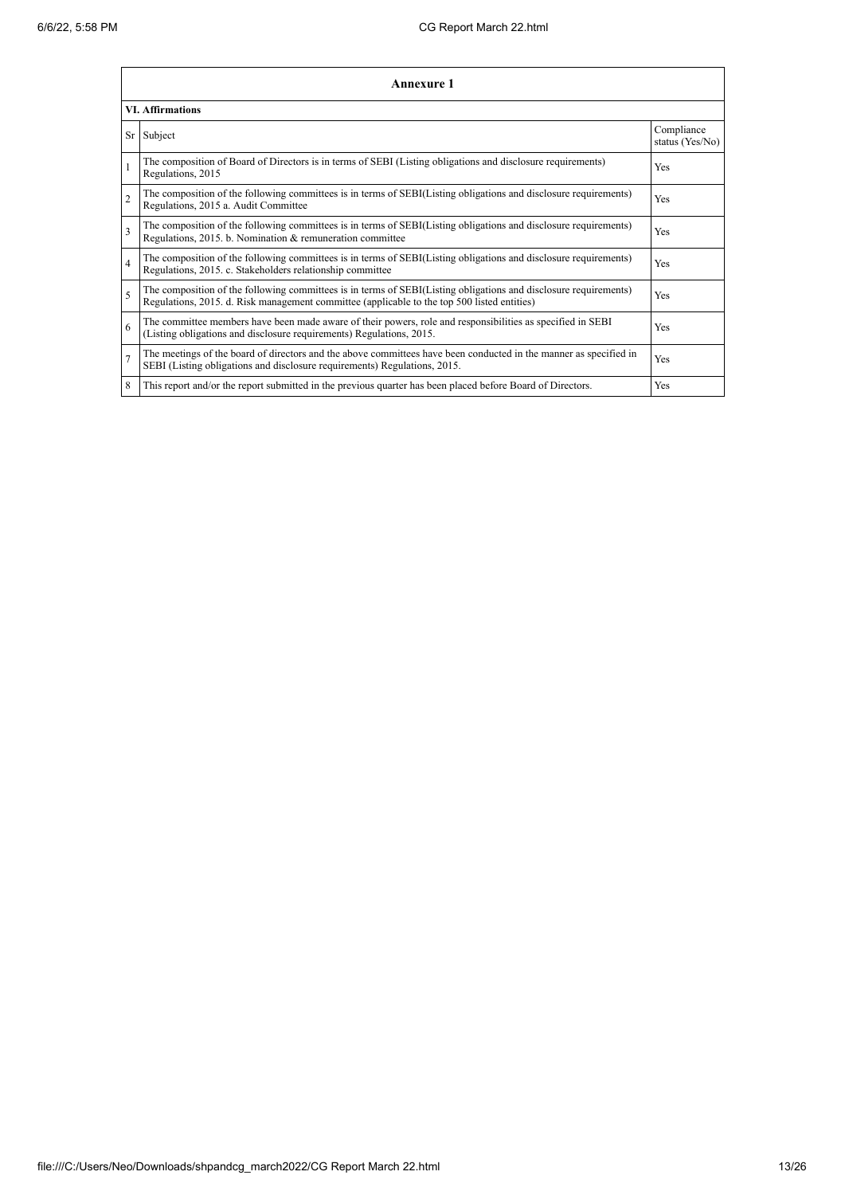|                | Annexure 1                                                                                                                                                                                                      |                               |
|----------------|-----------------------------------------------------------------------------------------------------------------------------------------------------------------------------------------------------------------|-------------------------------|
|                | <b>VI. Affirmations</b>                                                                                                                                                                                         |                               |
| Sr             | Subject                                                                                                                                                                                                         | Compliance<br>status (Yes/No) |
|                | The composition of Board of Directors is in terms of SEBI (Listing obligations and disclosure requirements)<br>Regulations, 2015                                                                                | Yes                           |
| $\overline{2}$ | The composition of the following committees is in terms of SEBI(Listing obligations and disclosure requirements)<br>Regulations, 2015 a. Audit Committee                                                        | Yes                           |
| 3              | The composition of the following committees is in terms of SEBI(Listing obligations and disclosure requirements)<br>Regulations, 2015. b. Nomination & remuneration committee                                   | Yes                           |
| 4              | The composition of the following committees is in terms of SEBI(Listing obligations and disclosure requirements)<br>Regulations, 2015. c. Stakeholders relationship committee                                   | <b>Yes</b>                    |
| 5              | The composition of the following committees is in terms of SEBI(Listing obligations and disclosure requirements)<br>Regulations, 2015. d. Risk management committee (applicable to the top 500 listed entities) | Yes                           |
| 6              | The committee members have been made aware of their powers, role and responsibilities as specified in SEBI<br>(Listing obligations and disclosure requirements) Regulations, 2015.                              | Yes                           |
| 7              | The meetings of the board of directors and the above committees have been conducted in the manner as specified in<br>SEBI (Listing obligations and disclosure requirements) Regulations, 2015.                  | Yes                           |
| 8              | This report and/or the report submitted in the previous quarter has been placed before Board of Directors.                                                                                                      | Yes                           |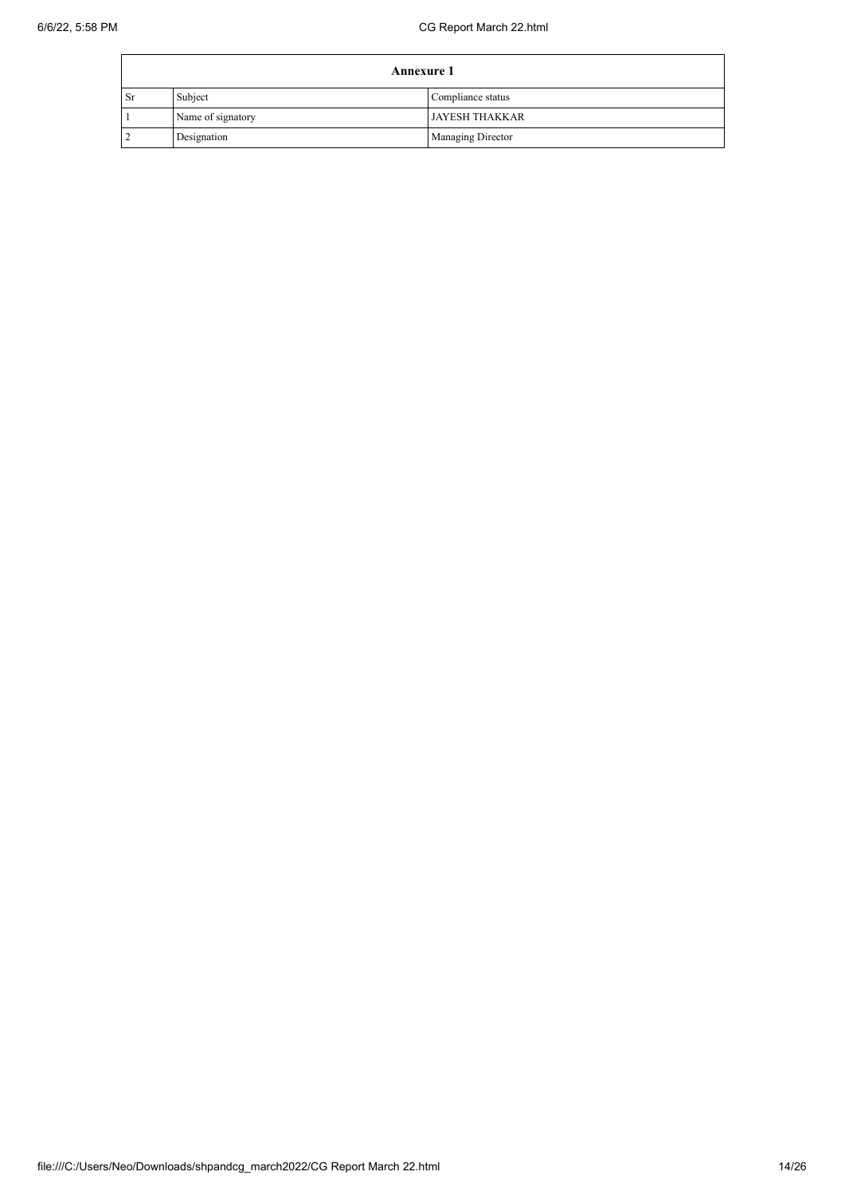|               | <b>Annexure 1</b> |                          |  |  |
|---------------|-------------------|--------------------------|--|--|
| <sub>Sr</sub> | Subject           | Compliance status        |  |  |
|               | Name of signatory | <b>JAYESH THAKKAR</b>    |  |  |
|               | Designation       | <b>Managing Director</b> |  |  |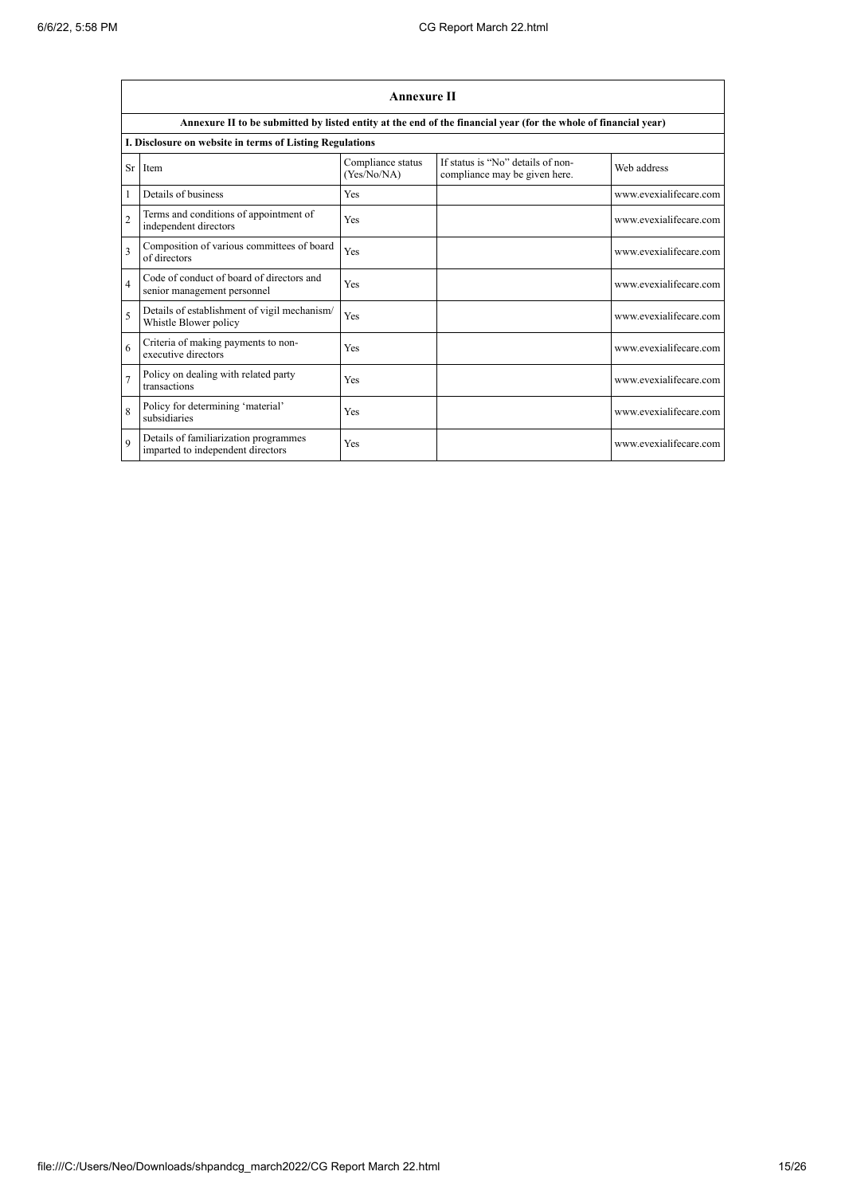$\blacksquare$ 

|                | <b>Annexure II</b>                                                         |                                  |                                                                                                                 |                        |  |  |
|----------------|----------------------------------------------------------------------------|----------------------------------|-----------------------------------------------------------------------------------------------------------------|------------------------|--|--|
|                |                                                                            |                                  | Annexure II to be submitted by listed entity at the end of the financial year (for the whole of financial year) |                        |  |  |
|                | I. Disclosure on website in terms of Listing Regulations                   |                                  |                                                                                                                 |                        |  |  |
|                | Sr Item                                                                    | Compliance status<br>(Yes/No/NA) | If status is "No" details of non-<br>compliance may be given here.                                              | Web address            |  |  |
|                | Details of business                                                        | Yes                              |                                                                                                                 | www.evexialifecare.com |  |  |
| $\overline{2}$ | Terms and conditions of appointment of<br>independent directors            | Yes                              |                                                                                                                 | www.evexialifecare.com |  |  |
| 3              | Composition of various committees of board<br>of directors                 | Yes                              |                                                                                                                 | www.evexialifecare.com |  |  |
| $\overline{4}$ | Code of conduct of board of directors and<br>senior management personnel   | Yes                              |                                                                                                                 | www.evexialifecare.com |  |  |
| 5              | Details of establishment of vigil mechanism/<br>Whistle Blower policy      | Yes                              |                                                                                                                 | www.evexialifecare.com |  |  |
| 6              | Criteria of making payments to non-<br>executive directors                 | Yes                              |                                                                                                                 | www.evexialifecare.com |  |  |
| $\overline{7}$ | Policy on dealing with related party<br>transactions                       | Yes                              |                                                                                                                 | www.evexialifecare.com |  |  |
| 8              | Policy for determining 'material'<br>subsidiaries                          | Yes                              |                                                                                                                 | www.evexialifecare.com |  |  |
| $\mathbf Q$    | Details of familiarization programmes<br>imparted to independent directors | Yes                              |                                                                                                                 | www.evexialifecare.com |  |  |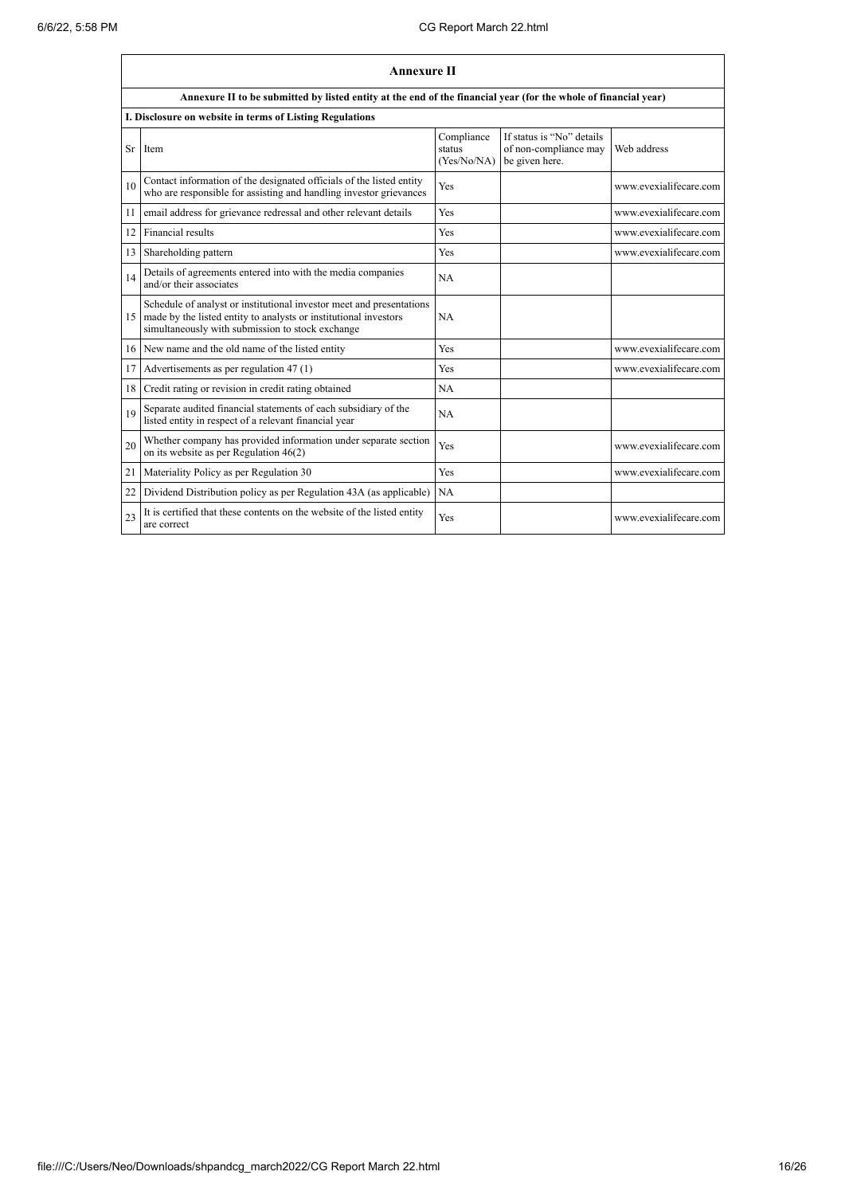|    | <b>Annexure II</b>                                                                                                                                                                              |                                     |                                                                      |                        |  |
|----|-------------------------------------------------------------------------------------------------------------------------------------------------------------------------------------------------|-------------------------------------|----------------------------------------------------------------------|------------------------|--|
|    | Annexure II to be submitted by listed entity at the end of the financial year (for the whole of financial year)                                                                                 |                                     |                                                                      |                        |  |
|    | I. Disclosure on website in terms of Listing Regulations                                                                                                                                        |                                     |                                                                      |                        |  |
| Sr | Item                                                                                                                                                                                            | Compliance<br>status<br>(Yes/No/NA) | If status is "No" details<br>of non-compliance may<br>be given here. | Web address            |  |
| 10 | Contact information of the designated officials of the listed entity<br>who are responsible for assisting and handling investor grievances                                                      | Yes                                 |                                                                      | www.evexialifecare.com |  |
| 11 | email address for grievance redressal and other relevant details                                                                                                                                | Yes                                 |                                                                      | www.evexialifecare.com |  |
| 12 | Financial results                                                                                                                                                                               | Yes                                 |                                                                      | www.evexialifecare.com |  |
| 13 | Shareholding pattern                                                                                                                                                                            | Yes                                 |                                                                      | www.evexialifecare.com |  |
| 14 | Details of agreements entered into with the media companies<br>and/or their associates                                                                                                          | <b>NA</b>                           |                                                                      |                        |  |
|    | Schedule of analyst or institutional investor meet and presentations<br>15 made by the listed entity to analysts or institutional investors<br>simultaneously with submission to stock exchange | NA                                  |                                                                      |                        |  |
|    | 16 New name and the old name of the listed entity                                                                                                                                               | Yes                                 |                                                                      | www.evexialifecare.com |  |
| 17 | Advertisements as per regulation 47 (1)                                                                                                                                                         | Yes                                 |                                                                      | www.evexialifecare.com |  |
| 18 | Credit rating or revision in credit rating obtained                                                                                                                                             | <b>NA</b>                           |                                                                      |                        |  |
| 19 | Separate audited financial statements of each subsidiary of the<br>listed entity in respect of a relevant financial year                                                                        | NA                                  |                                                                      |                        |  |
| 20 | Whether company has provided information under separate section<br>on its website as per Regulation 46(2)                                                                                       | Yes                                 |                                                                      | www.evexialifecare.com |  |
| 21 | Materiality Policy as per Regulation 30                                                                                                                                                         | Yes                                 |                                                                      | www.evexialifecare.com |  |
| 22 | Dividend Distribution policy as per Regulation 43A (as applicable)                                                                                                                              | NA                                  |                                                                      |                        |  |
| 23 | It is certified that these contents on the website of the listed entity<br>are correct                                                                                                          | Yes                                 |                                                                      | www.evexialifecare.com |  |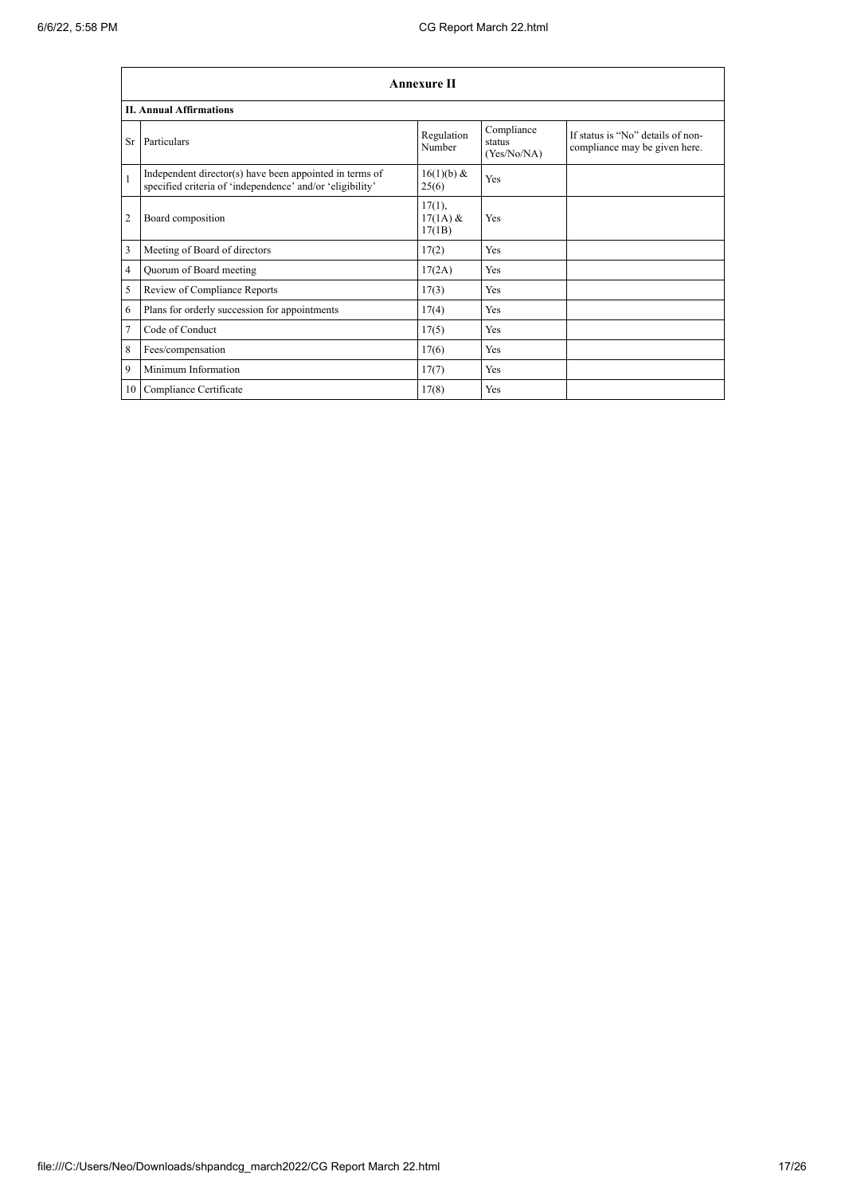|                | <b>Annexure II</b>                                                                                                   |                                   |                                     |                                                                    |  |  |
|----------------|----------------------------------------------------------------------------------------------------------------------|-----------------------------------|-------------------------------------|--------------------------------------------------------------------|--|--|
|                | <b>II. Annual Affirmations</b>                                                                                       |                                   |                                     |                                                                    |  |  |
| Sr             | Particulars                                                                                                          | Regulation<br>Number              | Compliance<br>status<br>(Yes/No/NA) | If status is "No" details of non-<br>compliance may be given here. |  |  |
| $\mathbf{1}$   | Independent director(s) have been appointed in terms of<br>specified criteria of 'independence' and/or 'eligibility' | 16(1)(b) &<br>25(6)               | Yes                                 |                                                                    |  |  |
| $\overline{2}$ | Board composition                                                                                                    | $17(1)$ ,<br>$17(1A)$ &<br>17(1B) | Yes                                 |                                                                    |  |  |
| 3              | Meeting of Board of directors                                                                                        | 17(2)                             | Yes                                 |                                                                    |  |  |
| $\overline{4}$ | Quorum of Board meeting                                                                                              | 17(2A)                            | Yes                                 |                                                                    |  |  |
| 5              | Review of Compliance Reports                                                                                         | 17(3)                             | Yes                                 |                                                                    |  |  |
| 6              | Plans for orderly succession for appointments                                                                        | 17(4)                             | Yes                                 |                                                                    |  |  |
| $\overline{7}$ | Code of Conduct                                                                                                      | 17(5)                             | Yes                                 |                                                                    |  |  |
| 8              | Fees/compensation                                                                                                    | 17(6)                             | <b>Yes</b>                          |                                                                    |  |  |
| 9              | Minimum Information                                                                                                  | 17(7)                             | Yes                                 |                                                                    |  |  |
| 10             | Compliance Certificate                                                                                               | 17(8)                             | Yes                                 |                                                                    |  |  |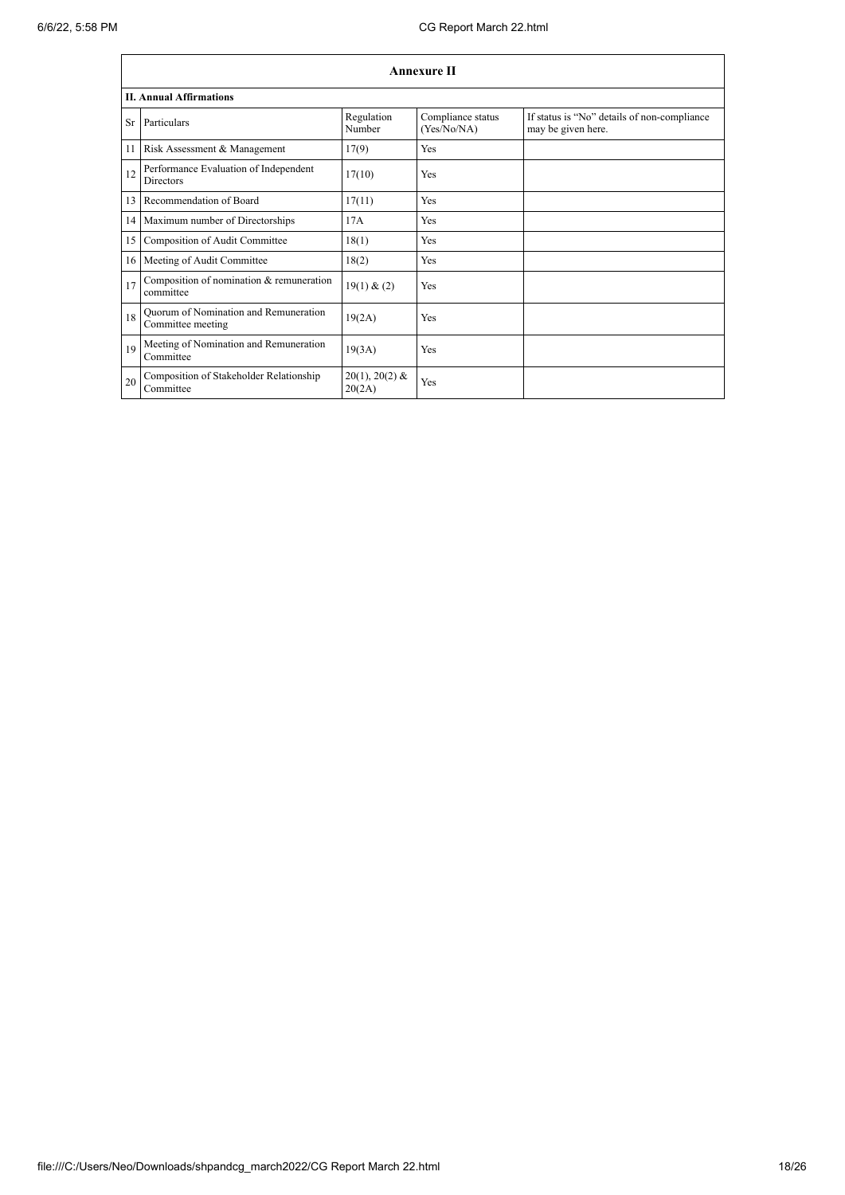|    | <b>Annexure II</b>                                         |                            |                                  |                                                                   |  |  |
|----|------------------------------------------------------------|----------------------------|----------------------------------|-------------------------------------------------------------------|--|--|
|    | <b>II. Annual Affirmations</b>                             |                            |                                  |                                                                   |  |  |
| Sr | Particulars                                                | Regulation<br>Number       | Compliance status<br>(Yes/No/NA) | If status is "No" details of non-compliance<br>may be given here. |  |  |
| 11 | Risk Assessment & Management                               | 17(9)                      | Yes                              |                                                                   |  |  |
| 12 | Performance Evaluation of Independent<br><b>Directors</b>  | 17(10)                     | <b>Yes</b>                       |                                                                   |  |  |
| 13 | Recommendation of Board                                    | 17(11)                     | <b>Yes</b>                       |                                                                   |  |  |
|    | 14 Maximum number of Directorships                         | 17A                        | Yes                              |                                                                   |  |  |
| 15 | Composition of Audit Committee                             | 18(1)                      | <b>Yes</b>                       |                                                                   |  |  |
|    | 16 Meeting of Audit Committee                              | 18(2)                      | Yes                              |                                                                   |  |  |
| 17 | Composition of nomination & remuneration<br>committee      | 19(1) & (2)                | Yes                              |                                                                   |  |  |
| 18 | Quorum of Nomination and Remuneration<br>Committee meeting | 19(2A)                     | <b>Yes</b>                       |                                                                   |  |  |
| 19 | Meeting of Nomination and Remuneration<br>Committee        | 19(3A)                     | <b>Yes</b>                       |                                                                   |  |  |
| 20 | Composition of Stakeholder Relationship<br>Committee       | $20(1), 20(2)$ &<br>20(2A) | Yes                              |                                                                   |  |  |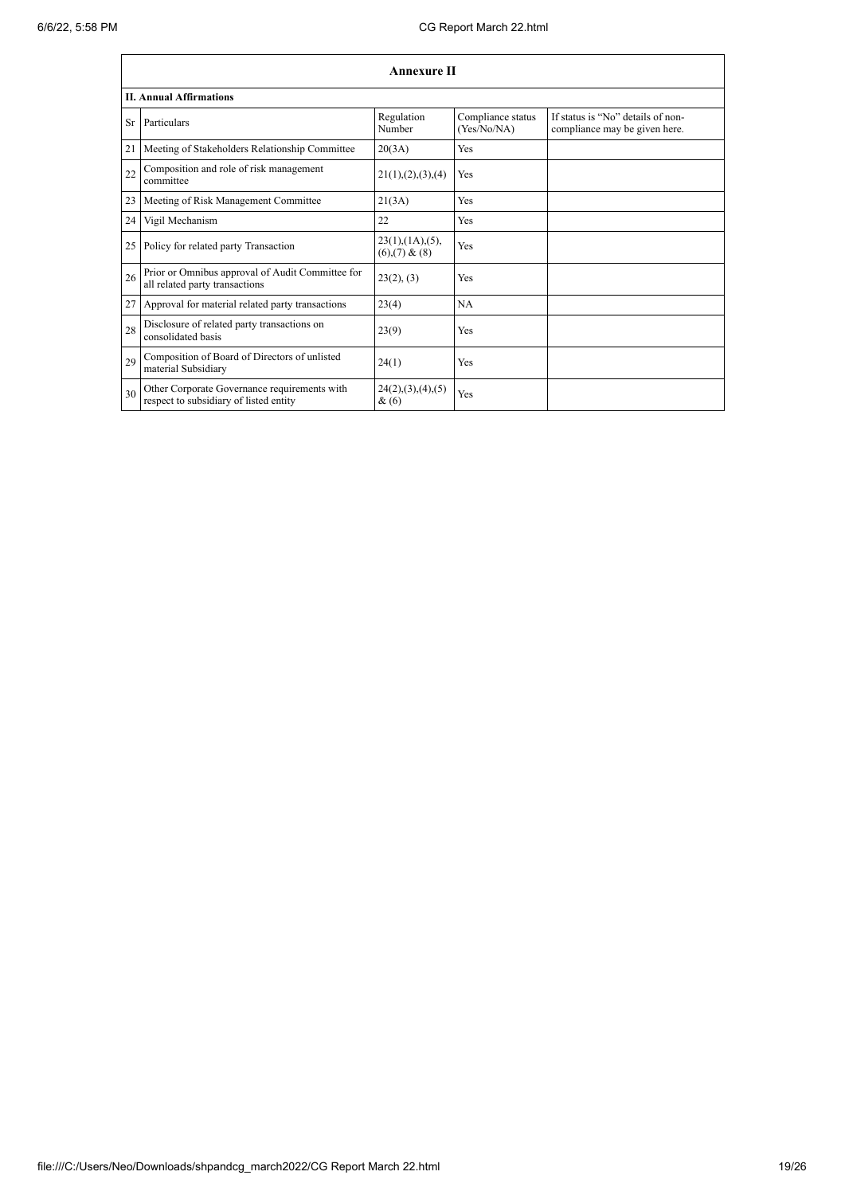|                 | <b>Annexure II</b>                                                                     |                                                     |                                  |                                                                    |  |
|-----------------|----------------------------------------------------------------------------------------|-----------------------------------------------------|----------------------------------|--------------------------------------------------------------------|--|
|                 | <b>II. Annual Affirmations</b>                                                         |                                                     |                                  |                                                                    |  |
| Sr              | Particulars                                                                            | Regulation<br>Number                                | Compliance status<br>(Yes/No/NA) | If status is "No" details of non-<br>compliance may be given here. |  |
| 21              | Meeting of Stakeholders Relationship Committee                                         | 20(3A)                                              | Yes                              |                                                                    |  |
| 22              | Composition and role of risk management<br>committee                                   | 21(1), (2), (3), (4)                                | Yes                              |                                                                    |  |
| 23              | Meeting of Risk Management Committee                                                   | 21(3A)                                              | Yes                              |                                                                    |  |
| 24 I            | Vigil Mechanism                                                                        | 22                                                  | Yes                              |                                                                    |  |
| 25 <sub>1</sub> | Policy for related party Transaction                                                   | $23(1)$ , $(1A)$ , $(5)$ ,<br>$(6)$ , $(7)$ & $(8)$ | Yes                              |                                                                    |  |
| 26              | Prior or Omnibus approval of Audit Committee for<br>all related party transactions     | 23(2), (3)                                          | Yes                              |                                                                    |  |
| 27 <sup>1</sup> | Approval for material related party transactions                                       | 23(4)                                               | <b>NA</b>                        |                                                                    |  |
| 28              | Disclosure of related party transactions on<br>consolidated basis                      | 23(9)                                               | Yes                              |                                                                    |  |
| 29              | Composition of Board of Directors of unlisted<br>material Subsidiary                   | 24(1)                                               | Yes                              |                                                                    |  |
| 30              | Other Corporate Governance requirements with<br>respect to subsidiary of listed entity | 24(2),(3),(4),(5)<br>&(6)                           | Yes                              |                                                                    |  |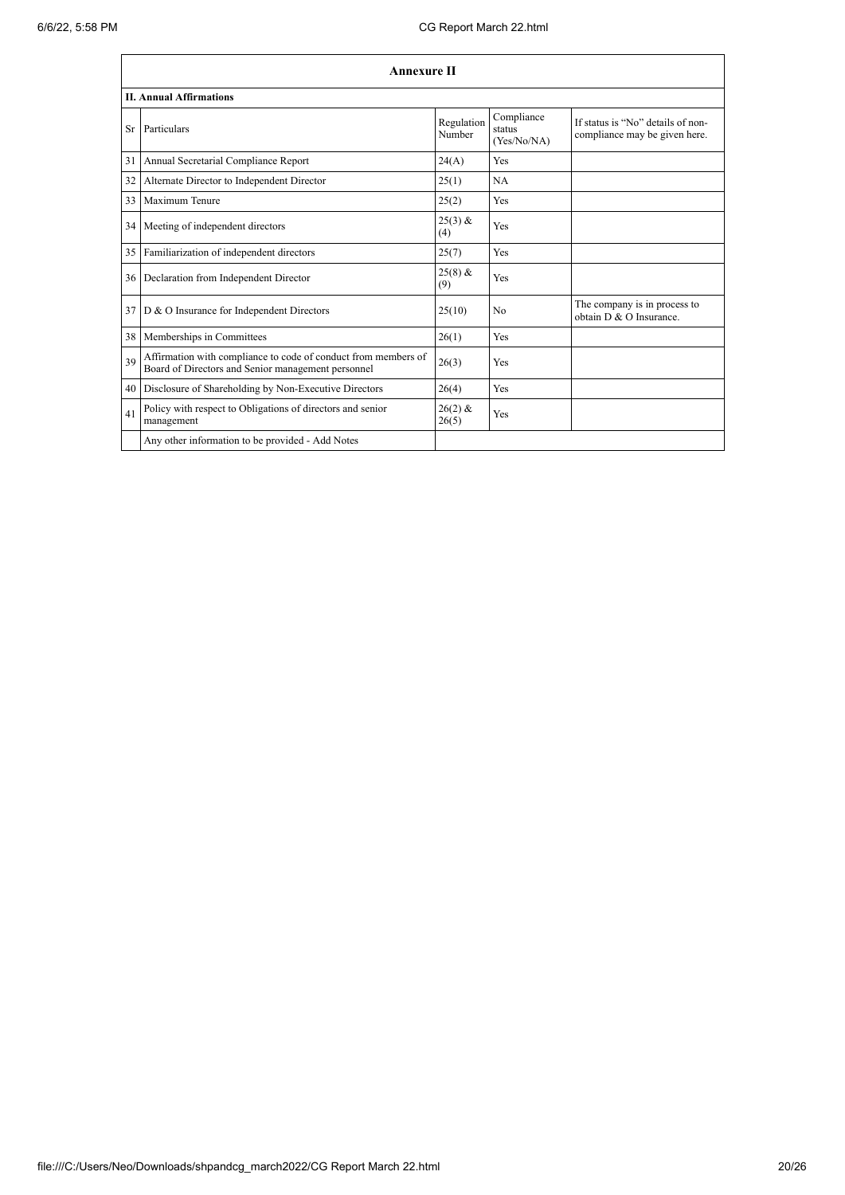|    | <b>Annexure II</b>                                                                                                   |                      |                                     |                                                                    |  |
|----|----------------------------------------------------------------------------------------------------------------------|----------------------|-------------------------------------|--------------------------------------------------------------------|--|
|    | <b>II. Annual Affirmations</b>                                                                                       |                      |                                     |                                                                    |  |
| Sr | Particulars                                                                                                          | Regulation<br>Number | Compliance<br>status<br>(Yes/No/NA) | If status is "No" details of non-<br>compliance may be given here. |  |
| 31 | Annual Secretarial Compliance Report                                                                                 | 24(A)                | <b>Yes</b>                          |                                                                    |  |
| 32 | Alternate Director to Independent Director                                                                           | 25(1)                | <b>NA</b>                           |                                                                    |  |
| 33 | Maximum Tenure                                                                                                       | 25(2)                | Yes                                 |                                                                    |  |
| 34 | Meeting of independent directors                                                                                     | $25(3)$ &<br>(4)     | Yes                                 |                                                                    |  |
| 35 | Familiarization of independent directors                                                                             | 25(7)                | <b>Yes</b>                          |                                                                    |  |
| 36 | Declaration from Independent Director                                                                                | $25(8)$ &<br>(9)     | Yes                                 |                                                                    |  |
| 37 | D & O Insurance for Independent Directors                                                                            | 25(10)               | N <sub>0</sub>                      | The company is in process to<br>obtain D & O Insurance.            |  |
| 38 | Memberships in Committees                                                                                            | 26(1)                | Yes                                 |                                                                    |  |
| 39 | Affirmation with compliance to code of conduct from members of<br>Board of Directors and Senior management personnel | 26(3)                | <b>Yes</b>                          |                                                                    |  |
| 40 | Disclosure of Shareholding by Non-Executive Directors                                                                | 26(4)                | <b>Yes</b>                          |                                                                    |  |
| 41 | Policy with respect to Obligations of directors and senior<br>management                                             | $26(2)$ &<br>26(5)   | Yes                                 |                                                                    |  |
|    | Any other information to be provided - Add Notes                                                                     |                      |                                     |                                                                    |  |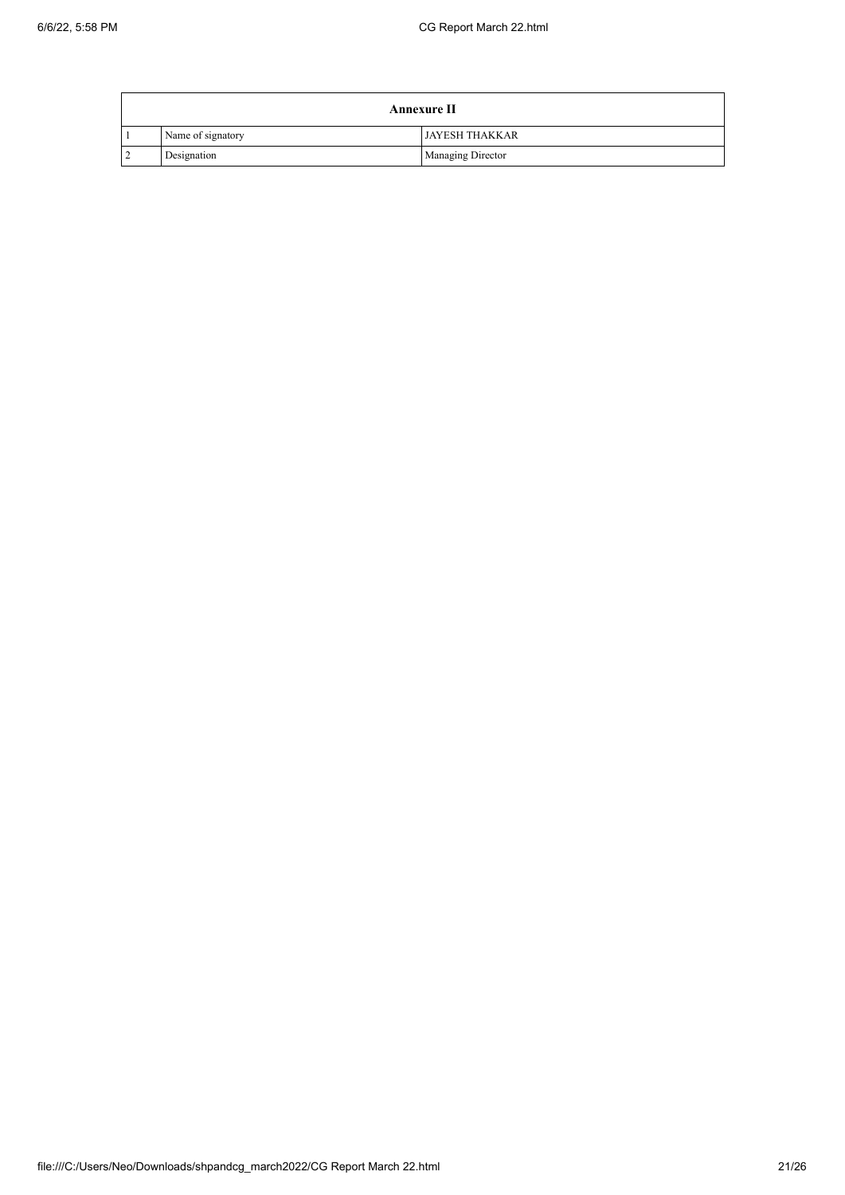| <b>Annexure II</b> |                       |  |  |  |
|--------------------|-----------------------|--|--|--|
| Name of signatory  | <b>JAYESH THAKKAR</b> |  |  |  |
| Designation        | Managing Director     |  |  |  |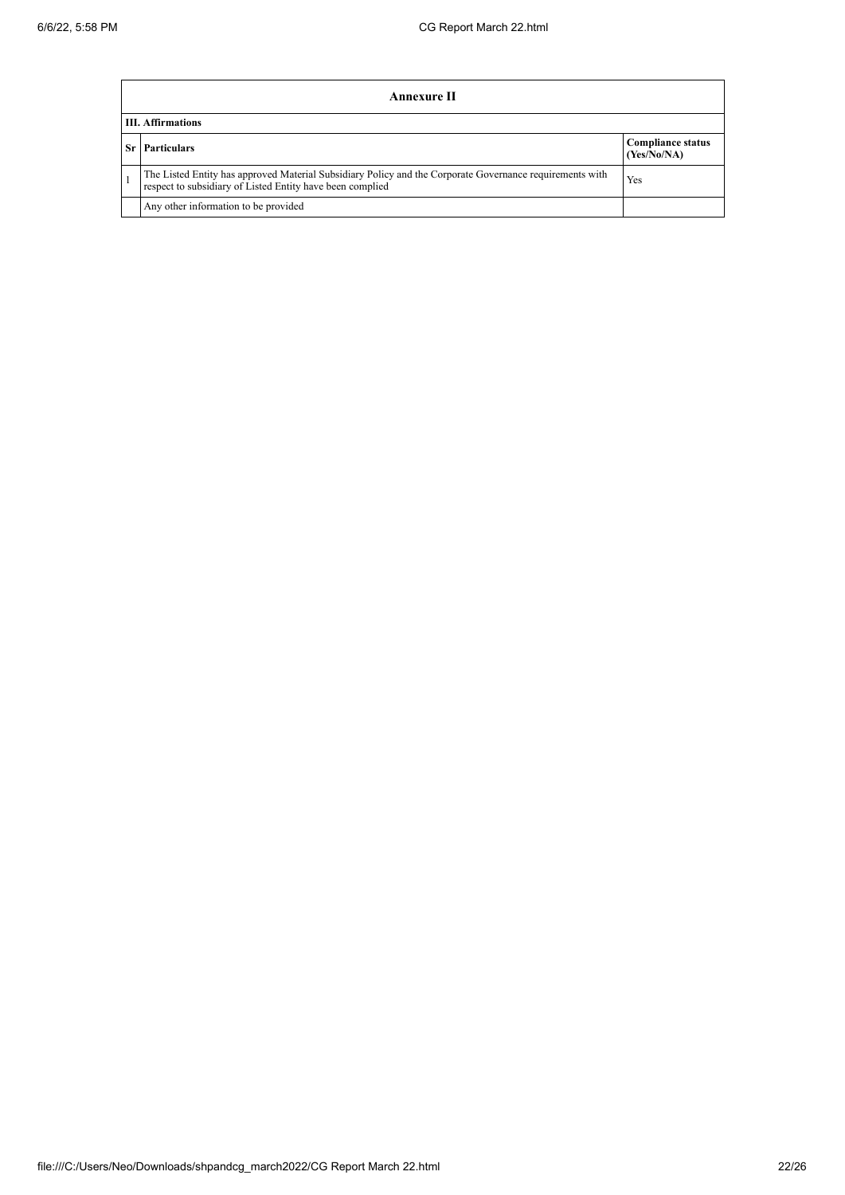|    | Annexure II                                                                                                                                                           |                                         |  |  |  |
|----|-----------------------------------------------------------------------------------------------------------------------------------------------------------------------|-----------------------------------------|--|--|--|
|    | <b>III.</b> Affirmations                                                                                                                                              |                                         |  |  |  |
| Sr | <b>Particulars</b>                                                                                                                                                    | <b>Compliance status</b><br>(Yes/No/NA) |  |  |  |
|    | The Listed Entity has approved Material Subsidiary Policy and the Corporate Governance requirements with<br>respect to subsidiary of Listed Entity have been complied | Yes                                     |  |  |  |
|    | Any other information to be provided                                                                                                                                  |                                         |  |  |  |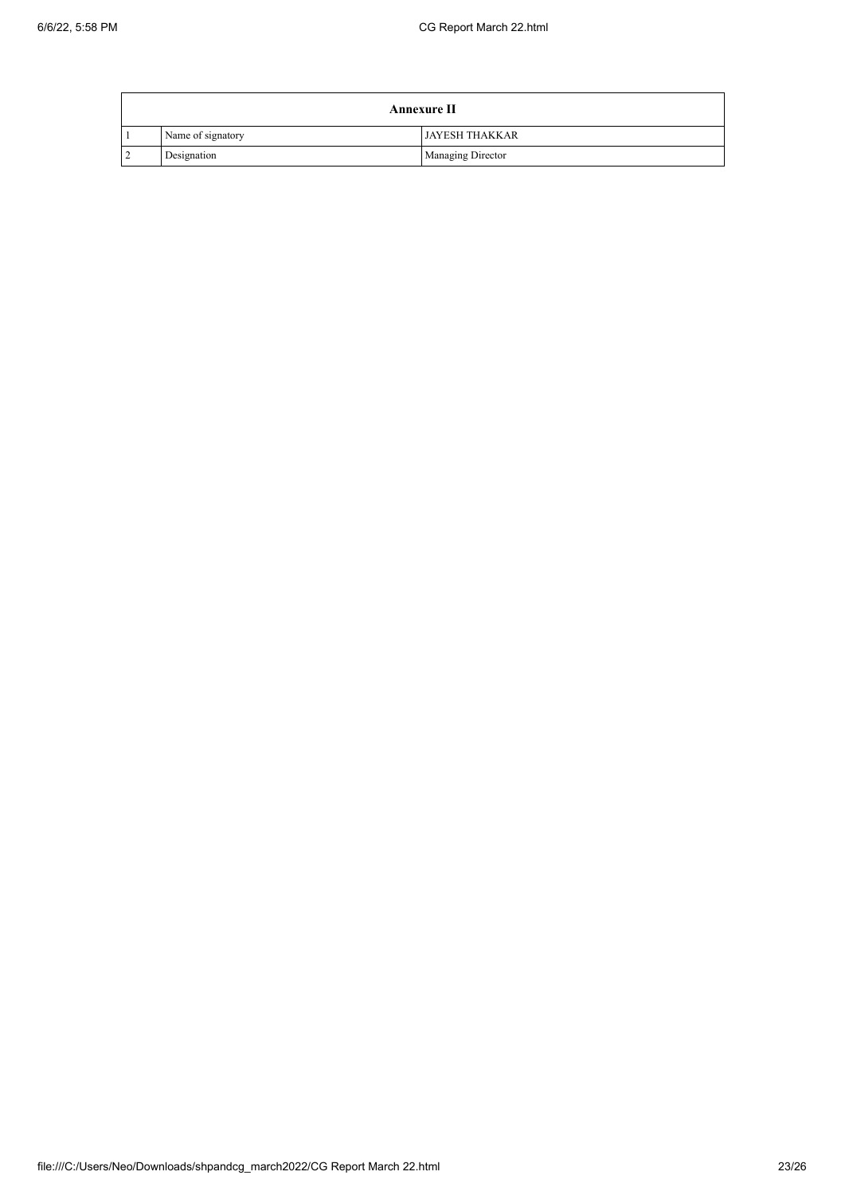| <b>Annexure II</b> |                       |  |  |  |
|--------------------|-----------------------|--|--|--|
| Name of signatory  | <b>JAYESH THAKKAR</b> |  |  |  |
| Designation        | Managing Director     |  |  |  |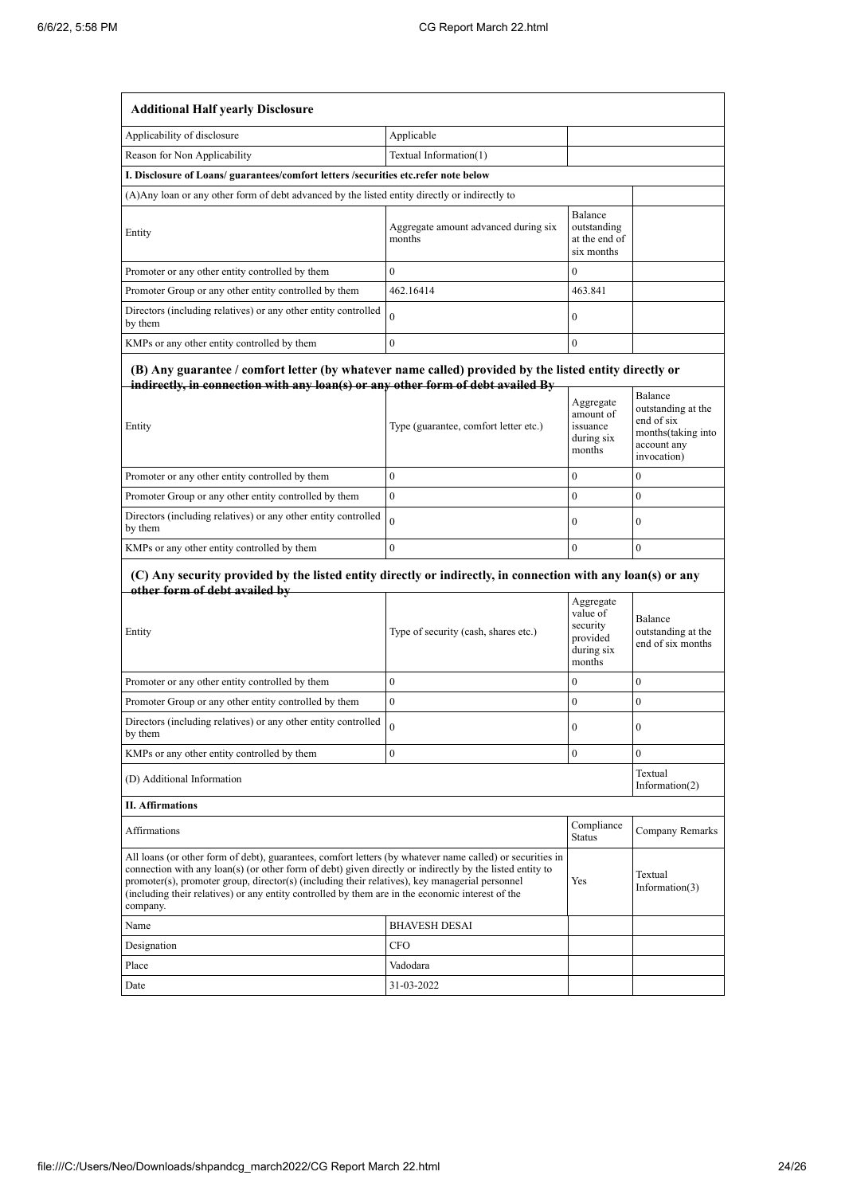| <b>Additional Half yearly Disclosure</b>                                                                                                                                                                                                                                                                                                                                                                                                |                                                |                                                                       |                                                                                                 |  |  |
|-----------------------------------------------------------------------------------------------------------------------------------------------------------------------------------------------------------------------------------------------------------------------------------------------------------------------------------------------------------------------------------------------------------------------------------------|------------------------------------------------|-----------------------------------------------------------------------|-------------------------------------------------------------------------------------------------|--|--|
| Applicability of disclosure                                                                                                                                                                                                                                                                                                                                                                                                             | Applicable                                     |                                                                       |                                                                                                 |  |  |
| Reason for Non Applicability                                                                                                                                                                                                                                                                                                                                                                                                            | Textual Information(1)                         |                                                                       |                                                                                                 |  |  |
| I. Disclosure of Loans/ guarantees/comfort letters /securities etc.refer note below                                                                                                                                                                                                                                                                                                                                                     |                                                |                                                                       |                                                                                                 |  |  |
| (A) Any loan or any other form of debt advanced by the listed entity directly or indirectly to                                                                                                                                                                                                                                                                                                                                          |                                                |                                                                       |                                                                                                 |  |  |
| Entity                                                                                                                                                                                                                                                                                                                                                                                                                                  | Aggregate amount advanced during six<br>months | Balance<br>outstanding<br>at the end of<br>six months                 |                                                                                                 |  |  |
| Promoter or any other entity controlled by them                                                                                                                                                                                                                                                                                                                                                                                         | $\theta$                                       | $\bf{0}$                                                              |                                                                                                 |  |  |
| Promoter Group or any other entity controlled by them                                                                                                                                                                                                                                                                                                                                                                                   | 462.16414                                      | 463.841                                                               |                                                                                                 |  |  |
| Directors (including relatives) or any other entity controlled<br>by them                                                                                                                                                                                                                                                                                                                                                               | $\theta$                                       | $\boldsymbol{0}$                                                      |                                                                                                 |  |  |
| KMPs or any other entity controlled by them                                                                                                                                                                                                                                                                                                                                                                                             | $\mathbf{0}$                                   | $\bf{0}$                                                              |                                                                                                 |  |  |
| (B) Any guarantee / comfort letter (by whatever name called) provided by the listed entity directly or<br>indirectly, in connection with any loan(s) or any other form of debt availed By<br>Entity                                                                                                                                                                                                                                     | Type (guarantee, comfort letter etc.)          | Aggregate<br>amount of<br>issuance<br>during six<br>months            | Balance<br>outstanding at the<br>end of six<br>months(taking into<br>account any<br>invocation) |  |  |
| Promoter or any other entity controlled by them                                                                                                                                                                                                                                                                                                                                                                                         | $\boldsymbol{0}$                               | 0                                                                     | 0                                                                                               |  |  |
| Promoter Group or any other entity controlled by them                                                                                                                                                                                                                                                                                                                                                                                   | $\mathbf{0}$                                   | $\mathbf{0}$                                                          | $\overline{0}$                                                                                  |  |  |
| Directors (including relatives) or any other entity controlled<br>by them                                                                                                                                                                                                                                                                                                                                                               | $\theta$                                       | $\bf{0}$                                                              | 0                                                                                               |  |  |
| KMPs or any other entity controlled by them                                                                                                                                                                                                                                                                                                                                                                                             | $\mathbf{0}$                                   | $\theta$                                                              | $\overline{0}$                                                                                  |  |  |
| (C) Any security provided by the listed entity directly or indirectly, in connection with any loan(s) or any<br>other form of debt availed by                                                                                                                                                                                                                                                                                           |                                                |                                                                       |                                                                                                 |  |  |
| Entity                                                                                                                                                                                                                                                                                                                                                                                                                                  | Type of security (cash, shares etc.)           | Aggregate<br>value of<br>security<br>provided<br>during six<br>months | Balance<br>outstanding at the<br>end of six months                                              |  |  |
| Promoter or any other entity controlled by them                                                                                                                                                                                                                                                                                                                                                                                         | $\mathbf{0}$                                   | $\mathbf{0}$                                                          | 0                                                                                               |  |  |
| Promoter Group or any other entity controlled by them                                                                                                                                                                                                                                                                                                                                                                                   | $\mathbf{0}$                                   | $\boldsymbol{0}$                                                      | 0                                                                                               |  |  |
| Directors (including relatives) or any other entity controlled<br>by them                                                                                                                                                                                                                                                                                                                                                               |                                                | 0                                                                     | 0                                                                                               |  |  |
| KMPs or any other entity controlled by them                                                                                                                                                                                                                                                                                                                                                                                             | $\overline{0}$                                 | 0                                                                     | 0                                                                                               |  |  |
| (D) Additional Information                                                                                                                                                                                                                                                                                                                                                                                                              |                                                |                                                                       | Textual<br>Information(2)                                                                       |  |  |
| <b>II. Affirmations</b>                                                                                                                                                                                                                                                                                                                                                                                                                 |                                                |                                                                       |                                                                                                 |  |  |
| Affirmations                                                                                                                                                                                                                                                                                                                                                                                                                            | Compliance<br><b>Status</b>                    | Company Remarks                                                       |                                                                                                 |  |  |
| All loans (or other form of debt), guarantees, comfort letters (by whatever name called) or securities in<br>connection with any loan(s) (or other form of debt) given directly or indirectly by the listed entity to<br>promoter(s), promoter group, director(s) (including their relatives), key managerial personnel<br>(including their relatives) or any entity controlled by them are in the economic interest of the<br>company. |                                                | Yes                                                                   | Textual<br>Information(3)                                                                       |  |  |
| Name                                                                                                                                                                                                                                                                                                                                                                                                                                    | <b>BHAVESH DESAI</b>                           |                                                                       |                                                                                                 |  |  |
| Designation                                                                                                                                                                                                                                                                                                                                                                                                                             | <b>CFO</b>                                     |                                                                       |                                                                                                 |  |  |
| Place                                                                                                                                                                                                                                                                                                                                                                                                                                   | Vadodara                                       |                                                                       |                                                                                                 |  |  |
| Date                                                                                                                                                                                                                                                                                                                                                                                                                                    | 31-03-2022                                     |                                                                       |                                                                                                 |  |  |